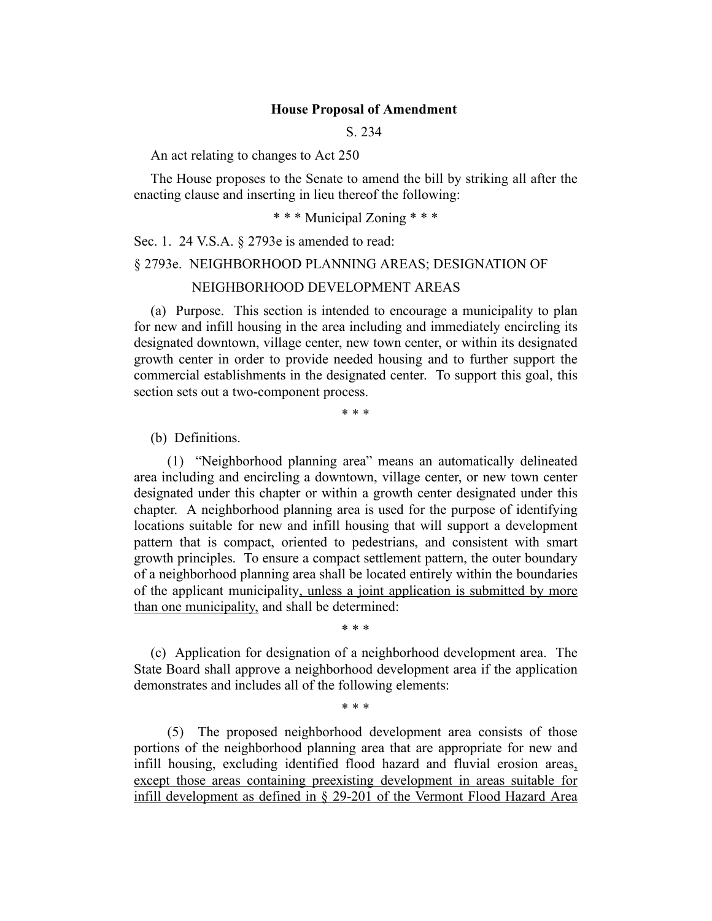#### **House Proposal of Amendment**

S. 234

An act relating to changes to Act 250

The House proposes to the Senate to amend the bill by striking all after the enacting clause and inserting in lieu thereof the following:

\* \* \* Municipal Zoning \* \* \*

Sec. 1. 24 V.S.A. § 2793e is amended to read:

## § 2793e. NEIGHBORHOOD PLANNING AREAS; DESIGNATION OF

## NEIGHBORHOOD DEVELOPMENT AREAS

(a) Purpose. This section is intended to encourage a municipality to plan for new and infill housing in the area including and immediately encircling its designated downtown, village center, new town center, or within its designated growth center in order to provide needed housing and to further support the commercial establishments in the designated center. To support this goal, this section sets out a two-component process.

\* \* \*

(b) Definitions.

(1) "Neighborhood planning area" means an automatically delineated area including and encircling a downtown, village center, or new town center designated under this chapter or within a growth center designated under this chapter. A neighborhood planning area is used for the purpose of identifying locations suitable for new and infill housing that will support a development pattern that is compact, oriented to pedestrians, and consistent with smart growth principles. To ensure a compact settlement pattern, the outer boundary of a neighborhood planning area shall be located entirely within the boundaries of the applicant municipality, unless a joint application is submitted by more than one municipality, and shall be determined:

\* \* \*

(c) Application for designation of a neighborhood development area. The State Board shall approve a neighborhood development area if the application demonstrates and includes all of the following elements:

\* \* \*

(5) The proposed neighborhood development area consists of those portions of the neighborhood planning area that are appropriate for new and infill housing, excluding identified flood hazard and fluvial erosion areas, except those areas containing preexisting development in areas suitable for infill development as defined in § 29-201 of the Vermont Flood Hazard Area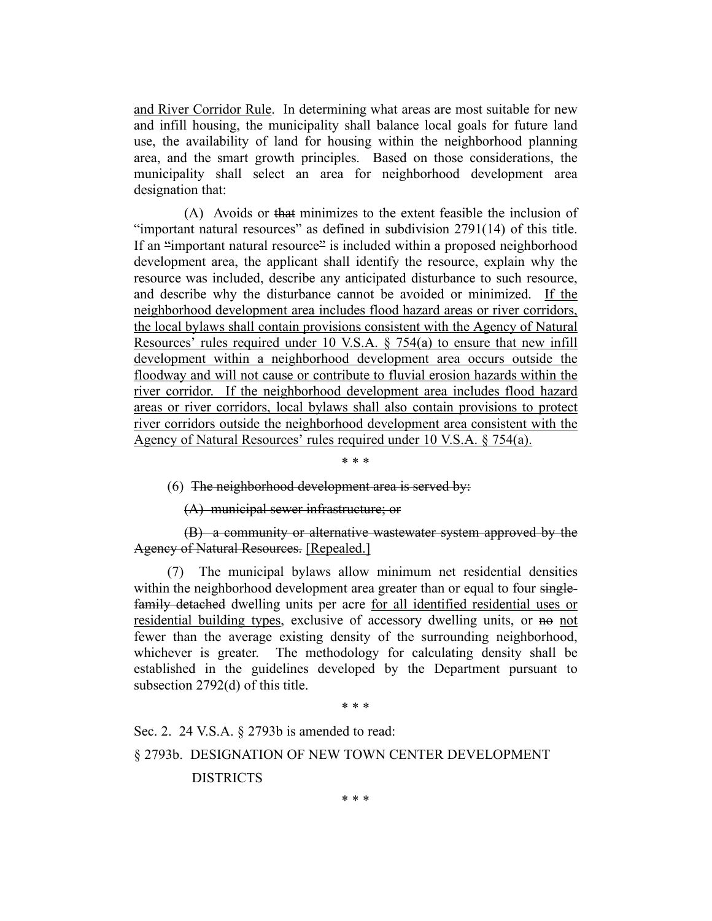and River Corridor Rule. In determining what areas are most suitable for new and infill housing, the municipality shall balance local goals for future land use, the availability of land for housing within the neighborhood planning area, and the smart growth principles. Based on those considerations, the municipality shall select an area for neighborhood development area designation that:

(A) Avoids or that minimizes to the extent feasible the inclusion of "important natural resources" as defined in subdivision 2791(14) of this title. If an "important natural resource" is included within a proposed neighborhood development area, the applicant shall identify the resource, explain why the resource was included, describe any anticipated disturbance to such resource, and describe why the disturbance cannot be avoided or minimized. If the neighborhood development area includes flood hazard areas or river corridors, the local bylaws shall contain provisions consistent with the Agency of Natural Resources' rules required under 10 V.S.A. § 754(a) to ensure that new infill development within a neighborhood development area occurs outside the floodway and will not cause or contribute to fluvial erosion hazards within the river corridor. If the neighborhood development area includes flood hazard areas or river corridors, local bylaws shall also contain provisions to protect river corridors outside the neighborhood development area consistent with the Agency of Natural Resources' rules required under 10 V.S.A. § 754(a).

\* \* \*

(6) The neighborhood development area is served by:

(A) municipal sewer infrastructure; or

(B) a community or alternative wastewater system approved by the Agency of Natural Resources. [Repealed.]

(7) The municipal bylaws allow minimum net residential densities within the neighborhood development area greater than or equal to four singlefamily detached dwelling units per acre for all identified residential uses or residential building types, exclusive of accessory dwelling units, or no not fewer than the average existing density of the surrounding neighborhood, whichever is greater. The methodology for calculating density shall be established in the guidelines developed by the Department pursuant to subsection 2792(d) of this title.

\* \* \*

Sec. 2. 24 V.S.A. § 2793b is amended to read:

#### § 2793b. DESIGNATION OF NEW TOWN CENTER DEVELOPMENT

DISTRICTS

\* \* \*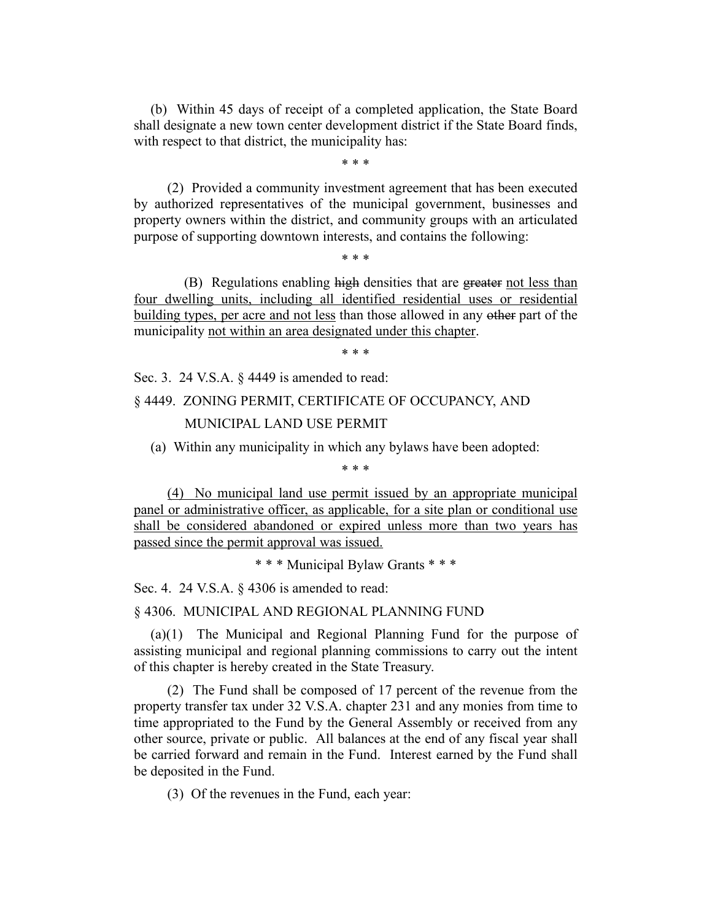(b) Within 45 days of receipt of a completed application, the State Board shall designate a new town center development district if the State Board finds, with respect to that district, the municipality has:

\* \* \*

(2) Provided a community investment agreement that has been executed by authorized representatives of the municipal government, businesses and property owners within the district, and community groups with an articulated purpose of supporting downtown interests, and contains the following:

\* \* \*

(B) Regulations enabling high densities that are greater not less than four dwelling units, including all identified residential uses or residential building types, per acre and not less than those allowed in any other part of the municipality not within an area designated under this chapter.

\* \* \*

Sec. 3. 24 V.S.A. § 4449 is amended to read:

# § 4449. ZONING PERMIT, CERTIFICATE OF OCCUPANCY, AND MUNICIPAL LAND USE PERMIT

(a) Within any municipality in which any bylaws have been adopted:

\* \* \*

(4) No municipal land use permit issued by an appropriate municipal panel or administrative officer, as applicable, for a site plan or conditional use shall be considered abandoned or expired unless more than two years has passed since the permit approval was issued.

\* \* \* Municipal Bylaw Grants \* \* \*

Sec. 4. 24 V.S.A. § 4306 is amended to read:

§ 4306. MUNICIPAL AND REGIONAL PLANNING FUND

(a)(1) The Municipal and Regional Planning Fund for the purpose of assisting municipal and regional planning commissions to carry out the intent of this chapter is hereby created in the State Treasury.

(2) The Fund shall be composed of 17 percent of the revenue from the property transfer tax under 32 V.S.A. chapter 231 and any monies from time to time appropriated to the Fund by the General Assembly or received from any other source, private or public. All balances at the end of any fiscal year shall be carried forward and remain in the Fund. Interest earned by the Fund shall be deposited in the Fund.

(3) Of the revenues in the Fund, each year: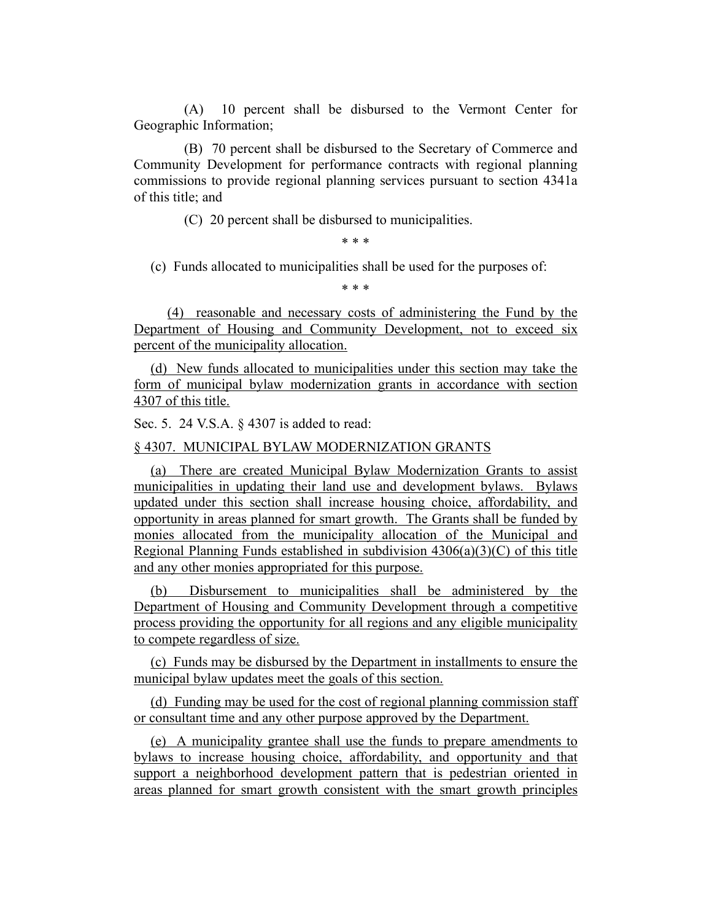(A) 10 percent shall be disbursed to the Vermont Center for Geographic Information;

(B) 70 percent shall be disbursed to the Secretary of Commerce and Community Development for performance contracts with regional planning commissions to provide regional planning services pursuant to section 4341a of this title; and

(C) 20 percent shall be disbursed to municipalities.

\* \* \*

(c) Funds allocated to municipalities shall be used for the purposes of:

\* \* \*

(4) reasonable and necessary costs of administering the Fund by the Department of Housing and Community Development, not to exceed six percent of the municipality allocation.

(d) New funds allocated to municipalities under this section may take the form of municipal bylaw modernization grants in accordance with section 4307 of this title.

Sec. 5. 24 V.S.A. § 4307 is added to read:

§ 4307. MUNICIPAL BYLAW MODERNIZATION GRANTS

(a) There are created Municipal Bylaw Modernization Grants to assist municipalities in updating their land use and development bylaws. Bylaws updated under this section shall increase housing choice, affordability, and opportunity in areas planned for smart growth. The Grants shall be funded by monies allocated from the municipality allocation of the Municipal and Regional Planning Funds established in subdivision 4306(a)(3)(C) of this title and any other monies appropriated for this purpose.

(b) Disbursement to municipalities shall be administered by the Department of Housing and Community Development through a competitive process providing the opportunity for all regions and any eligible municipality to compete regardless of size.

(c) Funds may be disbursed by the Department in installments to ensure the municipal bylaw updates meet the goals of this section.

(d) Funding may be used for the cost of regional planning commission staff or consultant time and any other purpose approved by the Department.

(e) A municipality grantee shall use the funds to prepare amendments to bylaws to increase housing choice, affordability, and opportunity and that support a neighborhood development pattern that is pedestrian oriented in areas planned for smart growth consistent with the smart growth principles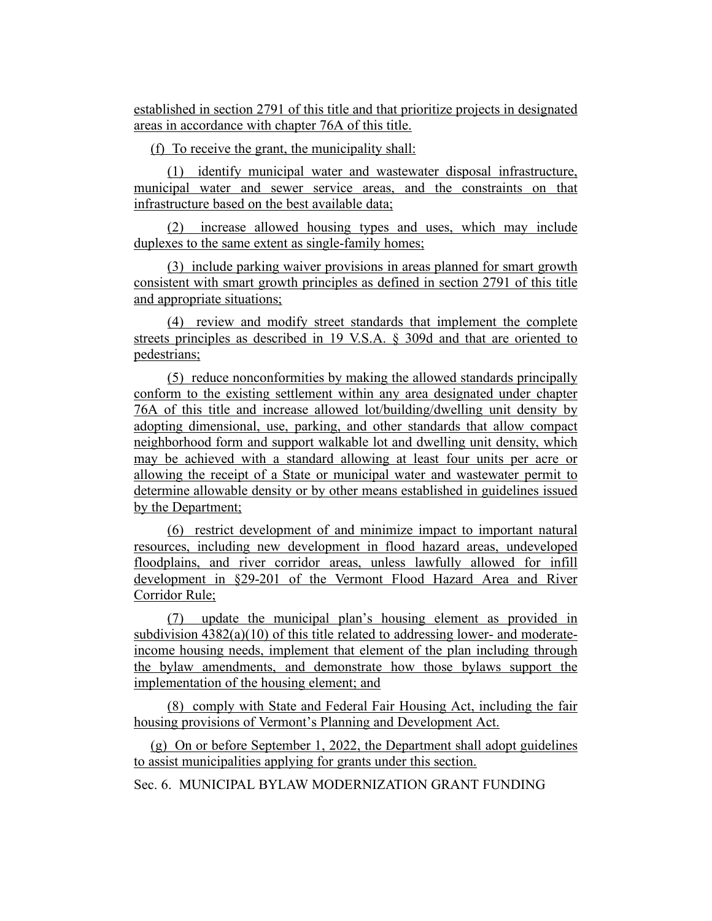established in section 2791 of this title and that prioritize projects in designated areas in accordance with chapter 76A of this title.

(f) To receive the grant, the municipality shall:

(1) identify municipal water and wastewater disposal infrastructure, municipal water and sewer service areas, and the constraints on that infrastructure based on the best available data;

(2) increase allowed housing types and uses, which may include duplexes to the same extent as single-family homes;

(3) include parking waiver provisions in areas planned for smart growth consistent with smart growth principles as defined in section 2791 of this title and appropriate situations;

(4) review and modify street standards that implement the complete streets principles as described in 19 V.S.A. § 309d and that are oriented to pedestrians;

(5) reduce nonconformities by making the allowed standards principally conform to the existing settlement within any area designated under chapter 76A of this title and increase allowed lot/building/dwelling unit density by adopting dimensional, use, parking, and other standards that allow compact neighborhood form and support walkable lot and dwelling unit density, which may be achieved with a standard allowing at least four units per acre or allowing the receipt of a State or municipal water and wastewater permit to determine allowable density or by other means established in guidelines issued by the Department;

(6) restrict development of and minimize impact to important natural resources, including new development in flood hazard areas, undeveloped floodplains, and river corridor areas, unless lawfully allowed for infill development in §29-201 of the Vermont Flood Hazard Area and River Corridor Rule;

(7) update the municipal plan's housing element as provided in subdivision  $4382(a)(10)$  of this title related to addressing lower- and moderateincome housing needs, implement that element of the plan including through the bylaw amendments, and demonstrate how those bylaws support the implementation of the housing element; and

(8) comply with State and Federal Fair Housing Act, including the fair housing provisions of Vermont's Planning and Development Act.

(g) On or before September 1, 2022, the Department shall adopt guidelines to assist municipalities applying for grants under this section.

Sec. 6. MUNICIPAL BYLAW MODERNIZATION GRANT FUNDING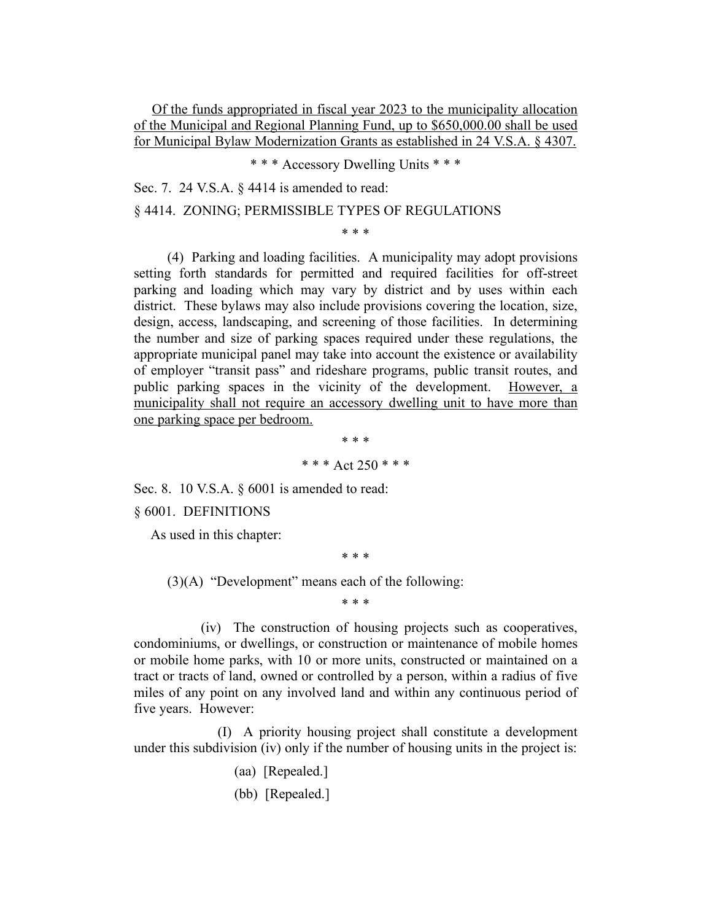Of the funds appropriated in fiscal year 2023 to the municipality allocation of the Municipal and Regional Planning Fund, up to \$650,000.00 shall be used for Municipal Bylaw Modernization Grants as established in 24 V.S.A. § 4307.

\* \* \* Accessory Dwelling Units \* \* \*

Sec. 7. 24 V.S.A. § 4414 is amended to read:

§ 4414. ZONING; PERMISSIBLE TYPES OF REGULATIONS

\* \* \*

(4) Parking and loading facilities. A municipality may adopt provisions setting forth standards for permitted and required facilities for off-street parking and loading which may vary by district and by uses within each district. These bylaws may also include provisions covering the location, size, design, access, landscaping, and screening of those facilities. In determining the number and size of parking spaces required under these regulations, the appropriate municipal panel may take into account the existence or availability of employer "transit pass" and rideshare programs, public transit routes, and public parking spaces in the vicinity of the development. However, a municipality shall not require an accessory dwelling unit to have more than one parking space per bedroom.

> \* \* \* \* \* \* Act 250 \* \* \*

Sec. 8. 10 V.S.A. § 6001 is amended to read:

§ 6001. DEFINITIONS

As used in this chapter:

\* \* \*

 $(3)(A)$  "Development" means each of the following:

\* \* \*

(iv) The construction of housing projects such as cooperatives, condominiums, or dwellings, or construction or maintenance of mobile homes or mobile home parks, with 10 or more units, constructed or maintained on a tract or tracts of land, owned or controlled by a person, within a radius of five miles of any point on any involved land and within any continuous period of five years. However:

(I) A priority housing project shall constitute a development under this subdivision (iv) only if the number of housing units in the project is:

- (aa) [Repealed.]
- (bb) [Repealed.]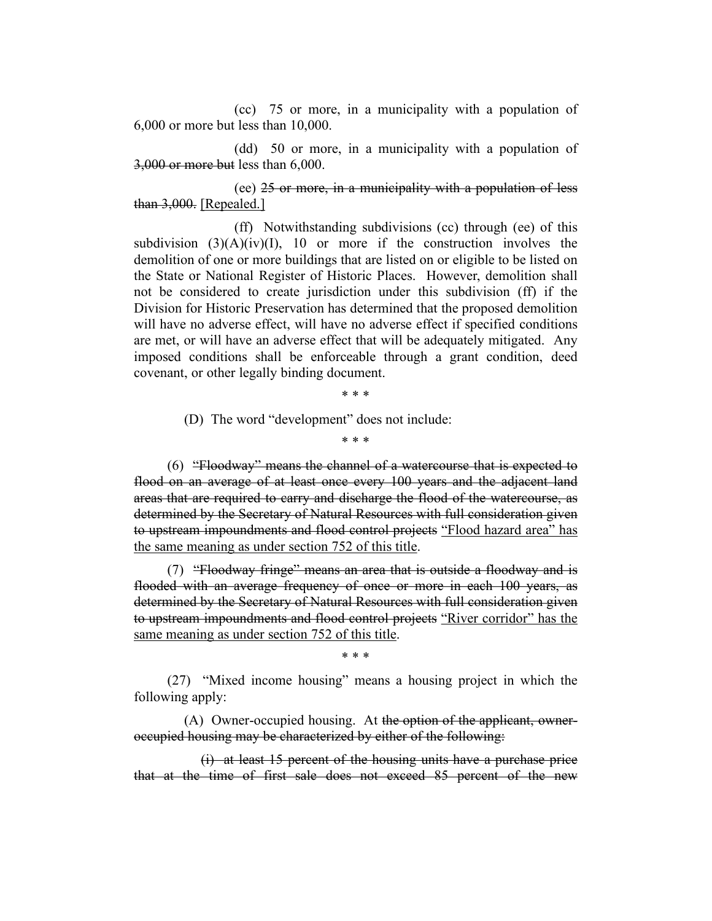(cc) 75 or more, in a municipality with a population of 6,000 or more but less than 10,000.

(dd) 50 or more, in a municipality with a population of 3,000 or more but less than 6,000.

(ee) 25 or more, in a municipality with a population of less than 3,000. [Repealed.]

(ff) Notwithstanding subdivisions (cc) through (ee) of this subdivision  $(3)(A)(iv)(I)$ , 10 or more if the construction involves the demolition of one or more buildings that are listed on or eligible to be listed on the State or National Register of Historic Places. However, demolition shall not be considered to create jurisdiction under this subdivision (ff) if the Division for Historic Preservation has determined that the proposed demolition will have no adverse effect, will have no adverse effect if specified conditions are met, or will have an adverse effect that will be adequately mitigated. Any imposed conditions shall be enforceable through a grant condition, deed covenant, or other legally binding document.

\* \* \*

(D) The word "development" does not include:

\* \* \*

(6) "Floodway" means the channel of a watercourse that is expected to flood on an average of at least once every 100 years and the adjacent land areas that are required to carry and discharge the flood of the watercourse, as determined by the Secretary of Natural Resources with full consideration given to upstream impoundments and flood control projects "Flood hazard area" has the same meaning as under section 752 of this title.

(7) "Floodway fringe" means an area that is outside a floodway and is flooded with an average frequency of once or more in each 100 years, as determined by the Secretary of Natural Resources with full consideration given to upstream impoundments and flood control projects "River corridor" has the same meaning as under section 752 of this title.

\* \* \*

(27) "Mixed income housing" means a housing project in which the following apply:

(A) Owner-occupied housing. At the option of the applicant, owneroccupied housing may be characterized by either of the following:

(i) at least 15 percent of the housing units have a purchase price that at the time of first sale does not exceed 85 percent of the new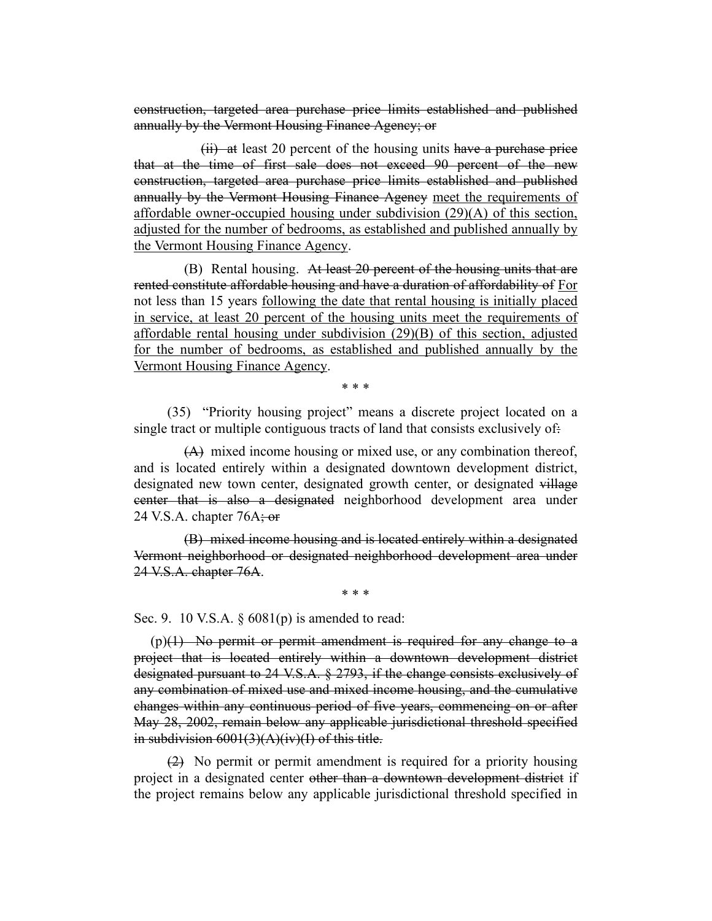construction, targeted area purchase price limits established and published annually by the Vermont Housing Finance Agency; or

(ii) at least 20 percent of the housing units have a purchase price that at the time of first sale does not exceed 90 percent of the new construction, targeted area purchase price limits established and published annually by the Vermont Housing Finance Agency meet the requirements of affordable owner-occupied housing under subdivision (29)(A) of this section, adjusted for the number of bedrooms, as established and published annually by the Vermont Housing Finance Agency.

(B) Rental housing. At least 20 percent of the housing units that are rented constitute affordable housing and have a duration of affordability of For not less than 15 years following the date that rental housing is initially placed in service, at least 20 percent of the housing units meet the requirements of affordable rental housing under subdivision (29)(B) of this section, adjusted for the number of bedrooms, as established and published annually by the Vermont Housing Finance Agency.

\* \* \*

(35) "Priority housing project" means a discrete project located on a single tract or multiple contiguous tracts of land that consists exclusively of.

(A) mixed income housing or mixed use, or any combination thereof, and is located entirely within a designated downtown development district, designated new town center, designated growth center, or designated village center that is also a designated neighborhood development area under 24 V.S.A. chapter  $76A$ ; or

(B) mixed income housing and is located entirely within a designated Vermont neighborhood or designated neighborhood development area under 24 V.S.A. chapter 76A.

\* \* \*

Sec. 9. 10 V.S.A. § 6081(p) is amended to read:

(p)(1) No permit or permit amendment is required for any change to a project that is located entirely within a downtown development district designated pursuant to 24 V.S.A. § 2793, if the change consists exclusively of any combination of mixed use and mixed income housing, and the cumulative changes within any continuous period of five years, commencing on or after May 28, 2002, remain below any applicable jurisdictional threshold specified in subdivision 6001(3)(A)(iv)(I) of this title.

(2) No permit or permit amendment is required for a priority housing project in a designated center other than a downtown development district if the project remains below any applicable jurisdictional threshold specified in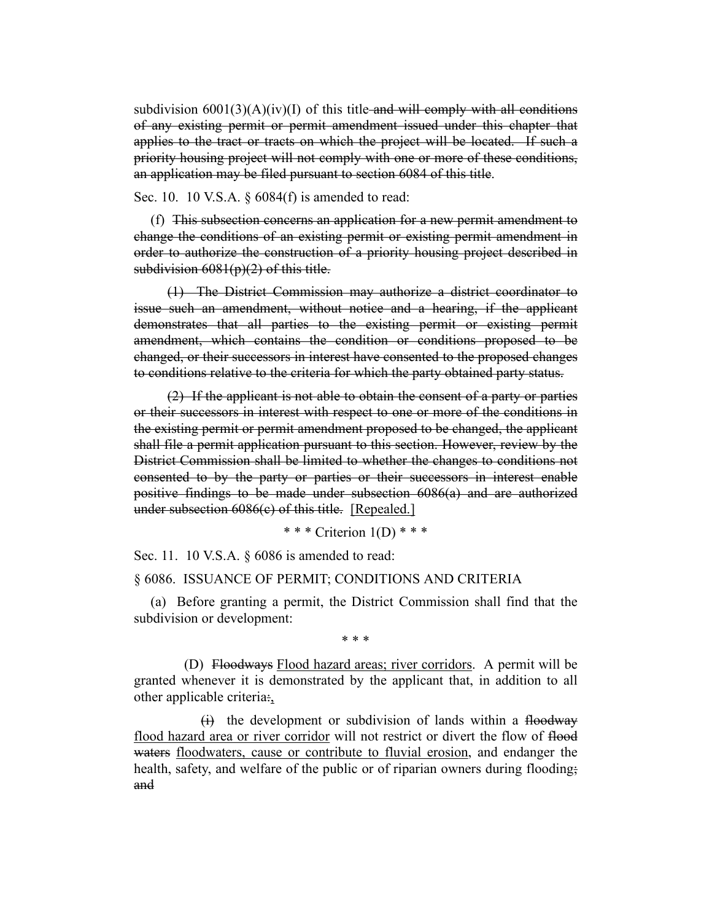subdivision  $6001(3)(A)(iv)(I)$  of this title-and will comply with all conditions of any existing permit or permit amendment issued under this chapter that applies to the tract or tracts on which the project will be located. If such a priority housing project will not comply with one or more of these conditions, an application may be filed pursuant to section 6084 of this title.

Sec. 10. 10 V.S.A. § 6084(f) is amended to read:

(f) This subsection concerns an application for a new permit amendment to change the conditions of an existing permit or existing permit amendment in order to authorize the construction of a priority housing project described in subdivision  $6081(p)(2)$  of this title.

(1) The District Commission may authorize a district coordinator to issue such an amendment, without notice and a hearing, if the applicant demonstrates that all parties to the existing permit or existing permit amendment, which contains the condition or conditions proposed to be changed, or their successors in interest have consented to the proposed changes to conditions relative to the criteria for which the party obtained party status.

(2) If the applicant is not able to obtain the consent of a party or parties or their successors in interest with respect to one or more of the conditions in the existing permit or permit amendment proposed to be changed, the applicant shall file a permit application pursuant to this section. However, review by the District Commission shall be limited to whether the changes to conditions not consented to by the party or parties or their successors in interest enable positive findings to be made under subsection 6086(a) and are authorized under subsection 6086(c) of this title. [Repealed.]

\* \* \* Criterion 1(D) \* \* \*

Sec. 11. 10 V.S.A. § 6086 is amended to read:

### § 6086. ISSUANCE OF PERMIT; CONDITIONS AND CRITERIA

(a) Before granting a permit, the District Commission shall find that the subdivision or development:

\* \* \*

(D) Floodways Flood hazard areas; river corridors. A permit will be granted whenever it is demonstrated by the applicant that, in addition to all other applicable criteria:,

 $(i)$  the development or subdivision of lands within a floodway flood hazard area or river corridor will not restrict or divert the flow of flood waters floodwaters, cause or contribute to fluvial erosion, and endanger the health, safety, and welfare of the public or of riparian owners during flooding; and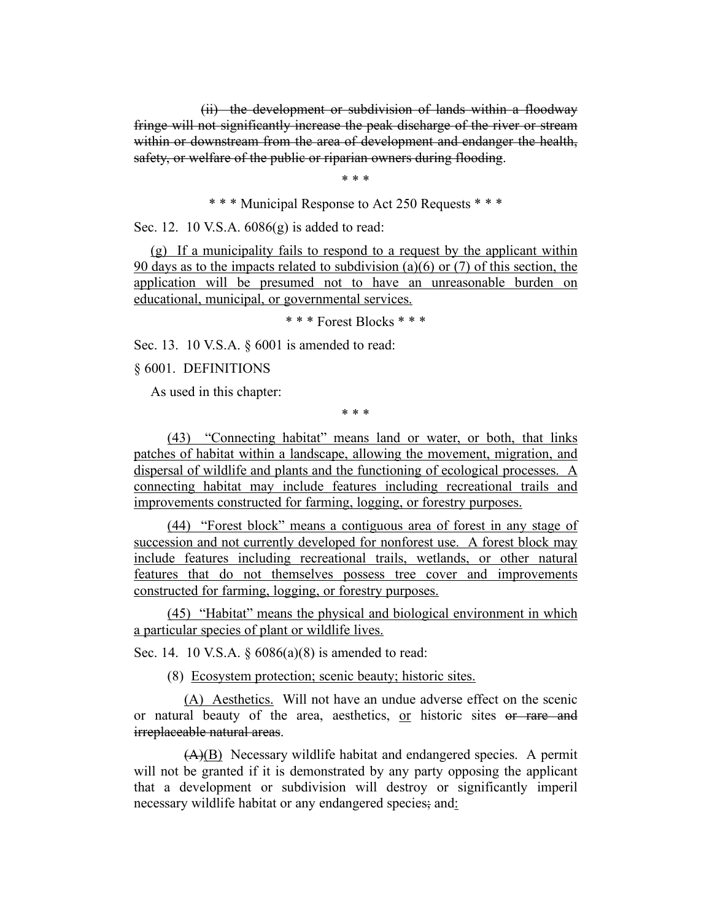(ii) the development or subdivision of lands within a floodway fringe will not significantly increase the peak discharge of the river or stream within or downstream from the area of development and endanger the health, safety, or welfare of the public or riparian owners during flooding.

\* \* \*

\* \* \* Municipal Response to Act 250 Requests \* \* \*

Sec. 12. 10 V.S.A. 6086(g) is added to read:

(g) If a municipality fails to respond to a request by the applicant within 90 days as to the impacts related to subdivision (a)(6) or (7) of this section, the application will be presumed not to have an unreasonable burden on educational, municipal, or governmental services.

\* \* \* Forest Blocks \* \* \*

Sec. 13. 10 V.S.A. § 6001 is amended to read:

§ 6001. DEFINITIONS

As used in this chapter:

\* \* \*

(43) "Connecting habitat" means land or water, or both, that links patches of habitat within a landscape, allowing the movement, migration, and dispersal of wildlife and plants and the functioning of ecological processes. A connecting habitat may include features including recreational trails and improvements constructed for farming, logging, or forestry purposes.

(44) "Forest block" means a contiguous area of forest in any stage of succession and not currently developed for nonforest use. A forest block may include features including recreational trails, wetlands, or other natural features that do not themselves possess tree cover and improvements constructed for farming, logging, or forestry purposes.

(45) "Habitat" means the physical and biological environment in which a particular species of plant or wildlife lives.

Sec. 14. 10 V.S.A. § 6086(a)(8) is amended to read:

(8) Ecosystem protection; scenic beauty; historic sites.

(A) Aesthetics. Will not have an undue adverse effect on the scenic or natural beauty of the area, aesthetics, or historic sites or rare and irreplaceable natural areas.

(A)(B) Necessary wildlife habitat and endangered species. A permit will not be granted if it is demonstrated by any party opposing the applicant that a development or subdivision will destroy or significantly imperil necessary wildlife habitat or any endangered species; and: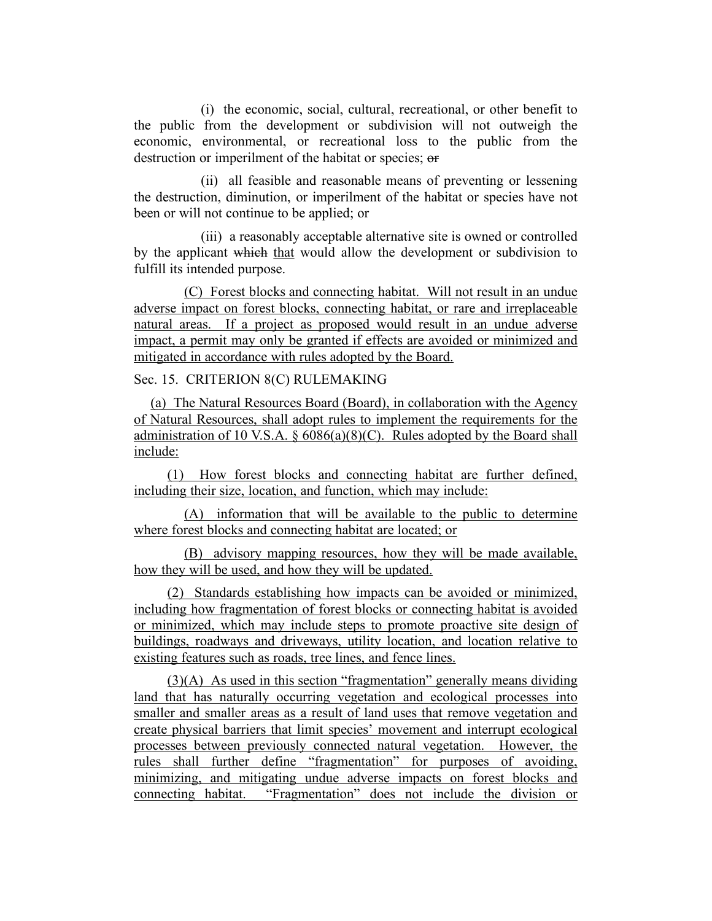(i) the economic, social, cultural, recreational, or other benefit to the public from the development or subdivision will not outweigh the economic, environmental, or recreational loss to the public from the destruction or imperilment of the habitat or species; or

(ii) all feasible and reasonable means of preventing or lessening the destruction, diminution, or imperilment of the habitat or species have not been or will not continue to be applied; or

(iii) a reasonably acceptable alternative site is owned or controlled by the applicant which that would allow the development or subdivision to fulfill its intended purpose.

(C) Forest blocks and connecting habitat. Will not result in an undue adverse impact on forest blocks, connecting habitat, or rare and irreplaceable natural areas. If a project as proposed would result in an undue adverse impact, a permit may only be granted if effects are avoided or minimized and mitigated in accordance with rules adopted by the Board.

Sec. 15. CRITERION 8(C) RULEMAKING

(a) The Natural Resources Board (Board), in collaboration with the Agency of Natural Resources, shall adopt rules to implement the requirements for the administration of 10 V.S.A.  $\S$  6086(a)(8)(C). Rules adopted by the Board shall include:

(1) How forest blocks and connecting habitat are further defined, including their size, location, and function, which may include:

(A) information that will be available to the public to determine where forest blocks and connecting habitat are located; or

(B) advisory mapping resources, how they will be made available, how they will be used, and how they will be updated.

(2) Standards establishing how impacts can be avoided or minimized, including how fragmentation of forest blocks or connecting habitat is avoided or minimized, which may include steps to promote proactive site design of buildings, roadways and driveways, utility location, and location relative to existing features such as roads, tree lines, and fence lines.

(3)(A) As used in this section "fragmentation" generally means dividing land that has naturally occurring vegetation and ecological processes into smaller and smaller areas as a result of land uses that remove vegetation and create physical barriers that limit species' movement and interrupt ecological processes between previously connected natural vegetation. However, the rules shall further define "fragmentation" for purposes of avoiding, minimizing, and mitigating undue adverse impacts on forest blocks and connecting habitat. "Fragmentation" does not include the division or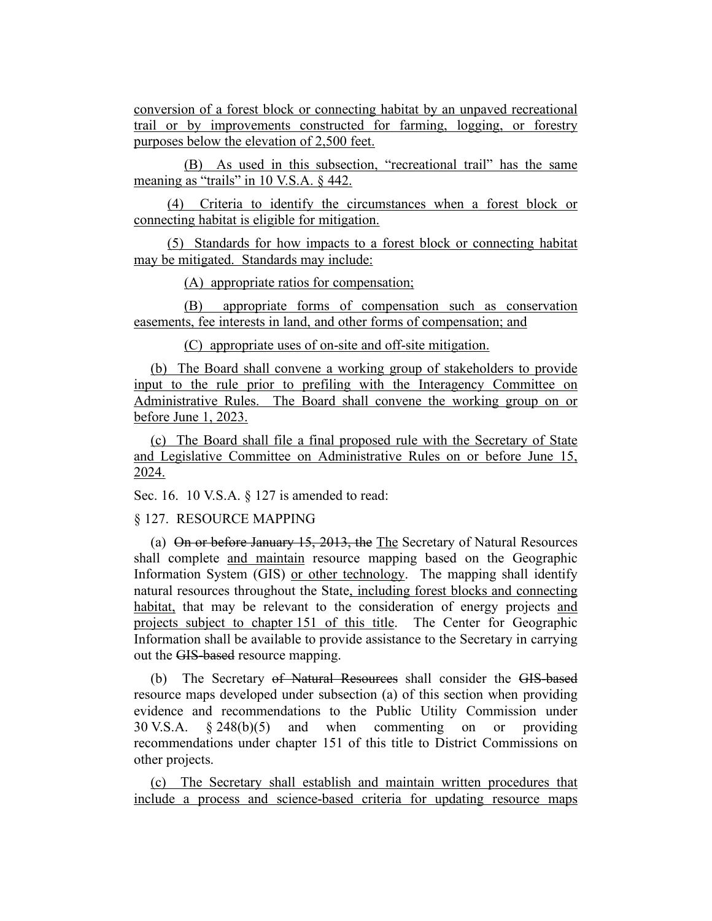conversion of a forest block or connecting habitat by an unpaved recreational trail or by improvements constructed for farming, logging, or forestry purposes below the elevation of 2,500 feet.

(B) As used in this subsection, "recreational trail" has the same meaning as "trails" in 10 V.S.A.  $\delta$  442.

(4) Criteria to identify the circumstances when a forest block or connecting habitat is eligible for mitigation.

(5) Standards for how impacts to a forest block or connecting habitat may be mitigated. Standards may include:

(A) appropriate ratios for compensation;

(B) appropriate forms of compensation such as conservation easements, fee interests in land, and other forms of compensation; and

(C) appropriate uses of on-site and off-site mitigation.

(b) The Board shall convene a working group of stakeholders to provide input to the rule prior to prefiling with the Interagency Committee on Administrative Rules. The Board shall convene the working group on or before June 1, 2023.

(c) The Board shall file a final proposed rule with the Secretary of State and Legislative Committee on Administrative Rules on or before June 15, 2024.

Sec. 16. 10 V.S.A. § 127 is amended to read:

§ 127. RESOURCE MAPPING

(a) On or before January 15, 2013, the The Secretary of Natural Resources shall complete and maintain resource mapping based on the Geographic Information System (GIS) or other technology. The mapping shall identify natural resources throughout the State, including forest blocks and connecting habitat, that may be relevant to the consideration of energy projects and projects subject to chapter 151 of this title. The Center for Geographic Information shall be available to provide assistance to the Secretary in carrying out the GIS-based resource mapping.

(b) The Secretary of Natural Resources shall consider the GIS-based resource maps developed under subsection (a) of this section when providing evidence and recommendations to the Public Utility Commission under 30 V.S.A. § 248(b)(5) and when commenting on or providing recommendations under chapter 151 of this title to District Commissions on other projects.

(c) The Secretary shall establish and maintain written procedures that include a process and science-based criteria for updating resource maps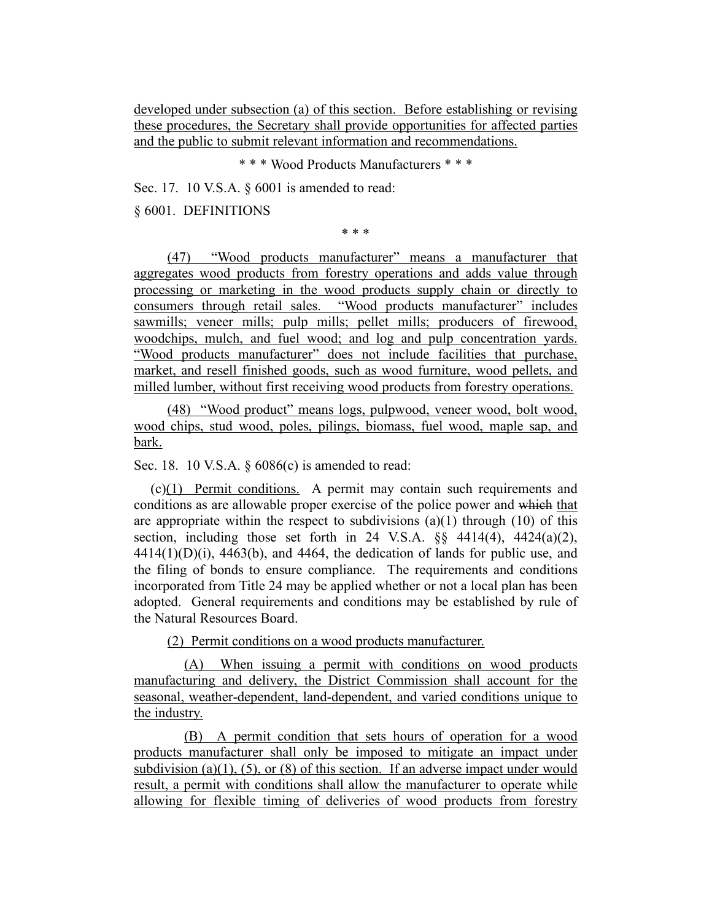developed under subsection (a) of this section. Before establishing or revising these procedures, the Secretary shall provide opportunities for affected parties and the public to submit relevant information and recommendations.

\* \* \* Wood Products Manufacturers \* \* \*

Sec. 17. 10 V.S.A. § 6001 is amended to read:

§ 6001. DEFINITIONS

\* \* \*

(47) "Wood products manufacturer" means a manufacturer that aggregates wood products from forestry operations and adds value through processing or marketing in the wood products supply chain or directly to consumers through retail sales. "Wood products manufacturer" includes sawmills; veneer mills; pulp mills; pellet mills; producers of firewood, woodchips, mulch, and fuel wood; and log and pulp concentration yards. "Wood products manufacturer" does not include facilities that purchase, market, and resell finished goods, such as wood furniture, wood pellets, and milled lumber, without first receiving wood products from forestry operations.

(48) "Wood product" means logs, pulpwood, veneer wood, bolt wood, wood chips, stud wood, poles, pilings, biomass, fuel wood, maple sap, and bark.

Sec. 18. 10 V.S.A. § 6086(c) is amended to read:

(c)(1) Permit conditions. A permit may contain such requirements and conditions as are allowable proper exercise of the police power and which that are appropriate within the respect to subdivisions  $(a)(1)$  through  $(10)$  of this section, including those set forth in 24 V.S.A.  $\S$ § 4414(4), 4424(a)(2),  $4414(1)(D)(i)$ ,  $4463(b)$ , and  $4464$ , the dedication of lands for public use, and the filing of bonds to ensure compliance. The requirements and conditions incorporated from Title 24 may be applied whether or not a local plan has been adopted. General requirements and conditions may be established by rule of the Natural Resources Board.

(2) Permit conditions on a wood products manufacturer.

(A) When issuing a permit with conditions on wood products manufacturing and delivery, the District Commission shall account for the seasonal, weather-dependent, land-dependent, and varied conditions unique to the industry.

(B) A permit condition that sets hours of operation for a wood products manufacturer shall only be imposed to mitigate an impact under subdivision (a)(1), (5), or (8) of this section. If an adverse impact under would result, a permit with conditions shall allow the manufacturer to operate while allowing for flexible timing of deliveries of wood products from forestry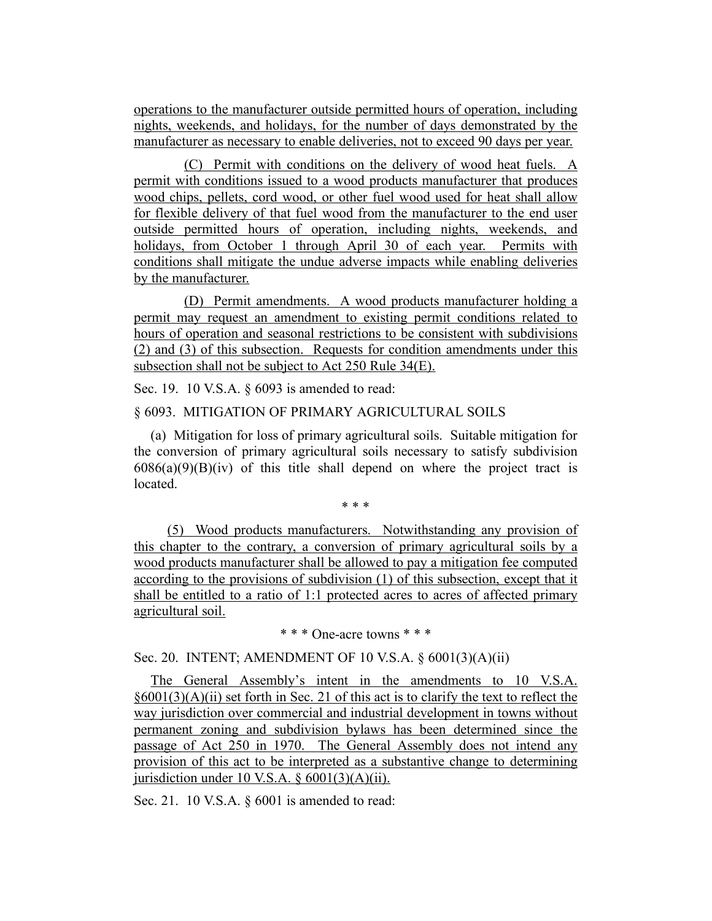operations to the manufacturer outside permitted hours of operation, including nights, weekends, and holidays, for the number of days demonstrated by the manufacturer as necessary to enable deliveries, not to exceed 90 days per year.

(C) Permit with conditions on the delivery of wood heat fuels. A permit with conditions issued to a wood products manufacturer that produces wood chips, pellets, cord wood, or other fuel wood used for heat shall allow for flexible delivery of that fuel wood from the manufacturer to the end user outside permitted hours of operation, including nights, weekends, and holidays, from October 1 through April 30 of each year. Permits with conditions shall mitigate the undue adverse impacts while enabling deliveries by the manufacturer.

(D) Permit amendments. A wood products manufacturer holding a permit may request an amendment to existing permit conditions related to hours of operation and seasonal restrictions to be consistent with subdivisions (2) and (3) of this subsection. Requests for condition amendments under this subsection shall not be subject to Act 250 Rule 34(E).

Sec. 19. 10 V.S.A. § 6093 is amended to read:

### § 6093. MITIGATION OF PRIMARY AGRICULTURAL SOILS

(a) Mitigation for loss of primary agricultural soils. Suitable mitigation for the conversion of primary agricultural soils necessary to satisfy subdivision  $6086(a)(9)(B)(iv)$  of this title shall depend on where the project tract is located.

\* \* \*

(5) Wood products manufacturers. Notwithstanding any provision of this chapter to the contrary, a conversion of primary agricultural soils by a wood products manufacturer shall be allowed to pay a mitigation fee computed according to the provisions of subdivision (1) of this subsection, except that it shall be entitled to a ratio of 1:1 protected acres to acres of affected primary agricultural soil.

\* \* \* One-acre towns \* \* \*

Sec. 20. INTENT; AMENDMENT OF 10 V.S.A. § 6001(3)(A)(ii)

The General Assembly's intent in the amendments to 10 V.S.A.  $§6001(3)(A)(ii)$  set forth in Sec. 21 of this act is to clarify the text to reflect the way jurisdiction over commercial and industrial development in towns without permanent zoning and subdivision bylaws has been determined since the passage of Act 250 in 1970. The General Assembly does not intend any provision of this act to be interpreted as a substantive change to determining jurisdiction under 10 V.S.A.  $\S$  6001(3)(A)(ii).

Sec. 21. 10 V.S.A. § 6001 is amended to read: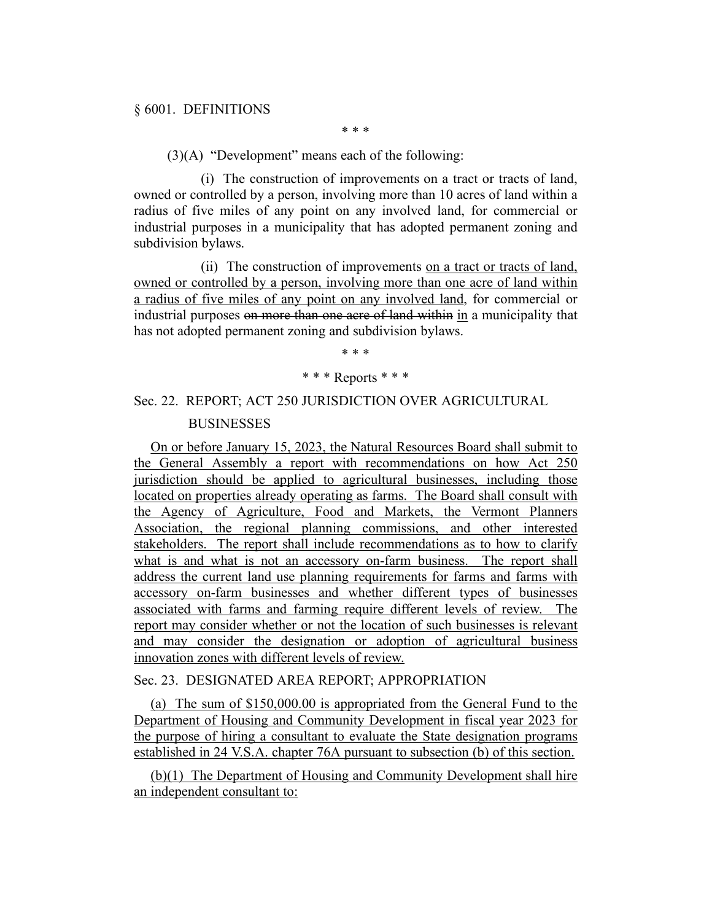\* \* \*

(3)(A) "Development" means each of the following:

(i) The construction of improvements on a tract or tracts of land, owned or controlled by a person, involving more than 10 acres of land within a radius of five miles of any point on any involved land, for commercial or industrial purposes in a municipality that has adopted permanent zoning and subdivision bylaws.

(ii) The construction of improvements on a tract or tracts of land, owned or controlled by a person, involving more than one acre of land within a radius of five miles of any point on any involved land, for commercial or industrial purposes on more than one acre of land within in a municipality that has not adopted permanent zoning and subdivision bylaws.

## \* \* \* \* \* \* Reports \* \* \*

## Sec. 22. REPORT; ACT 250 JURISDICTION OVER AGRICULTURAL BUSINESSES

On or before January 15, 2023, the Natural Resources Board shall submit to the General Assembly a report with recommendations on how Act 250 jurisdiction should be applied to agricultural businesses, including those located on properties already operating as farms. The Board shall consult with the Agency of Agriculture, Food and Markets, the Vermont Planners Association, the regional planning commissions, and other interested stakeholders. The report shall include recommendations as to how to clarify what is and what is not an accessory on-farm business. The report shall address the current land use planning requirements for farms and farms with accessory on-farm businesses and whether different types of businesses associated with farms and farming require different levels of review. The report may consider whether or not the location of such businesses is relevant and may consider the designation or adoption of agricultural business innovation zones with different levels of review.

## Sec. 23. DESIGNATED AREA REPORT; APPROPRIATION

(a) The sum of \$150,000.00 is appropriated from the General Fund to the Department of Housing and Community Development in fiscal year 2023 for the purpose of hiring a consultant to evaluate the State designation programs established in 24 V.S.A. chapter 76A pursuant to subsection (b) of this section.

(b)(1) The Department of Housing and Community Development shall hire an independent consultant to: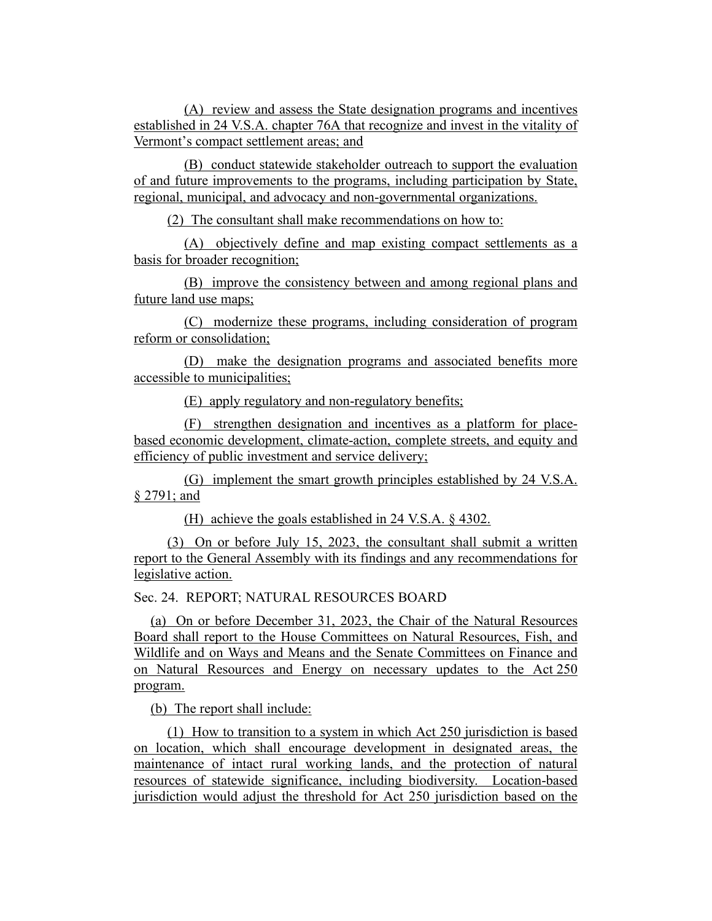(A) review and assess the State designation programs and incentives established in 24 V.S.A. chapter 76A that recognize and invest in the vitality of Vermont's compact settlement areas; and

(B) conduct statewide stakeholder outreach to support the evaluation of and future improvements to the programs, including participation by State, regional, municipal, and advocacy and non-governmental organizations.

(2) The consultant shall make recommendations on how to:

(A) objectively define and map existing compact settlements as a basis for broader recognition;

(B) improve the consistency between and among regional plans and future land use maps;

(C) modernize these programs, including consideration of program reform or consolidation;

(D) make the designation programs and associated benefits more accessible to municipalities;

(E) apply regulatory and non-regulatory benefits;

(F) strengthen designation and incentives as a platform for placebased economic development, climate-action, complete streets, and equity and efficiency of public investment and service delivery;

(G) implement the smart growth principles established by 24 V.S.A. § 2791; and

(H) achieve the goals established in 24 V.S.A. § 4302.

(3) On or before July 15, 2023, the consultant shall submit a written report to the General Assembly with its findings and any recommendations for legislative action.

Sec. 24. REPORT; NATURAL RESOURCES BOARD

(a) On or before December 31, 2023, the Chair of the Natural Resources Board shall report to the House Committees on Natural Resources, Fish, and Wildlife and on Ways and Means and the Senate Committees on Finance and on Natural Resources and Energy on necessary updates to the Act 250 program.

(b) The report shall include:

(1) How to transition to a system in which Act 250 jurisdiction is based on location, which shall encourage development in designated areas, the maintenance of intact rural working lands, and the protection of natural resources of statewide significance, including biodiversity. Location-based jurisdiction would adjust the threshold for Act 250 jurisdiction based on the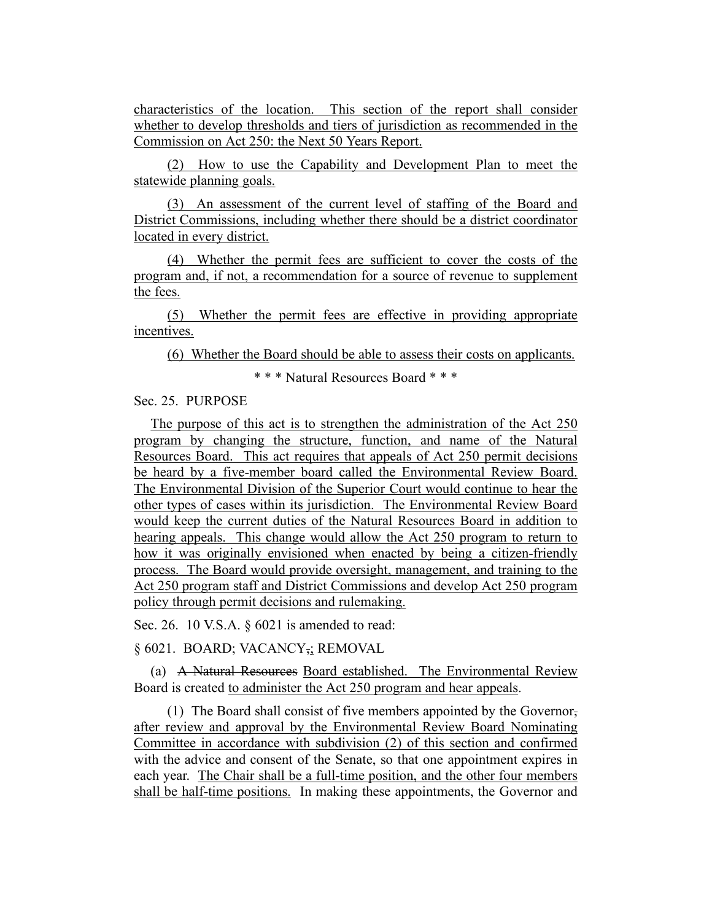characteristics of the location. This section of the report shall consider whether to develop thresholds and tiers of jurisdiction as recommended in the Commission on Act 250: the Next 50 Years Report.

(2) How to use the Capability and Development Plan to meet the statewide planning goals.

(3) An assessment of the current level of staffing of the Board and District Commissions, including whether there should be a district coordinator located in every district.

(4) Whether the permit fees are sufficient to cover the costs of the program and, if not, a recommendation for a source of revenue to supplement the fees.

(5) Whether the permit fees are effective in providing appropriate incentives.

(6) Whether the Board should be able to assess their costs on applicants.

\* \* \* Natural Resources Board \* \* \*

Sec. 25. PURPOSE

The purpose of this act is to strengthen the administration of the Act 250 program by changing the structure, function, and name of the Natural Resources Board. This act requires that appeals of Act 250 permit decisions be heard by a five-member board called the Environmental Review Board. The Environmental Division of the Superior Court would continue to hear the other types of cases within its jurisdiction. The Environmental Review Board would keep the current duties of the Natural Resources Board in addition to hearing appeals. This change would allow the Act 250 program to return to how it was originally envisioned when enacted by being a citizen-friendly process. The Board would provide oversight, management, and training to the Act 250 program staff and District Commissions and develop Act 250 program policy through permit decisions and rulemaking.

Sec. 26. 10 V.S.A. § 6021 is amended to read:

§ 6021. BOARD; VACANCY<sub>7</sub>; REMOVAL

(a) A Natural Resources Board established. The Environmental Review Board is created to administer the Act 250 program and hear appeals.

(1) The Board shall consist of five members appointed by the Governor, after review and approval by the Environmental Review Board Nominating Committee in accordance with subdivision (2) of this section and confirmed with the advice and consent of the Senate, so that one appointment expires in each year. The Chair shall be a full-time position, and the other four members shall be half-time positions. In making these appointments, the Governor and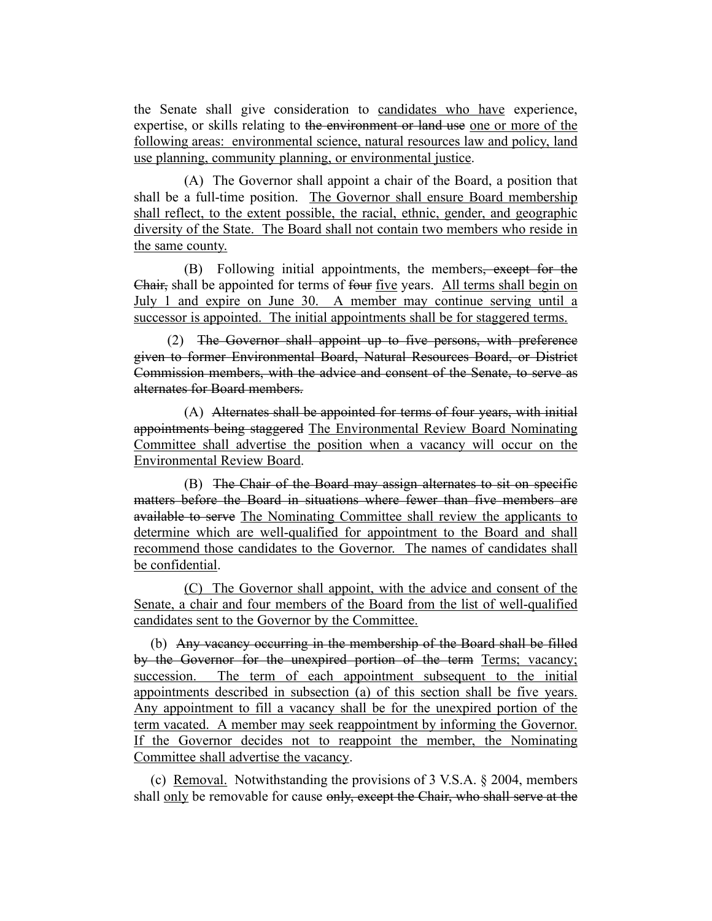the Senate shall give consideration to candidates who have experience, expertise, or skills relating to the environment or land use one or more of the following areas: environmental science, natural resources law and policy, land use planning, community planning, or environmental justice.

(A) The Governor shall appoint a chair of the Board, a position that shall be a full-time position. The Governor shall ensure Board membership shall reflect, to the extent possible, the racial, ethnic, gender, and geographic diversity of the State. The Board shall not contain two members who reside in the same county.

(B) Following initial appointments, the members<del>, except for the</del> Chair, shall be appointed for terms of four five years. All terms shall begin on July 1 and expire on June 30. A member may continue serving until a successor is appointed. The initial appointments shall be for staggered terms.

(2) The Governor shall appoint up to five persons, with preference given to former Environmental Board, Natural Resources Board, or District Commission members, with the advice and consent of the Senate, to serve as alternates for Board members.

(A) Alternates shall be appointed for terms of four years, with initial appointments being staggered The Environmental Review Board Nominating Committee shall advertise the position when a vacancy will occur on the Environmental Review Board.

(B) The Chair of the Board may assign alternates to sit on specific matters before the Board in situations where fewer than five members are available to serve The Nominating Committee shall review the applicants to determine which are well-qualified for appointment to the Board and shall recommend those candidates to the Governor. The names of candidates shall be confidential.

(C) The Governor shall appoint, with the advice and consent of the Senate, a chair and four members of the Board from the list of well-qualified candidates sent to the Governor by the Committee.

(b) Any vacancy occurring in the membership of the Board shall be filled by the Governor for the unexpired portion of the term Terms; vacancy; succession. The term of each appointment subsequent to the initial appointments described in subsection (a) of this section shall be five years. Any appointment to fill a vacancy shall be for the unexpired portion of the term vacated. A member may seek reappointment by informing the Governor. If the Governor decides not to reappoint the member, the Nominating Committee shall advertise the vacancy.

(c) Removal. Notwithstanding the provisions of  $3$  V.S.A.  $\S$  2004, members shall only be removable for cause only, except the Chair, who shall serve at the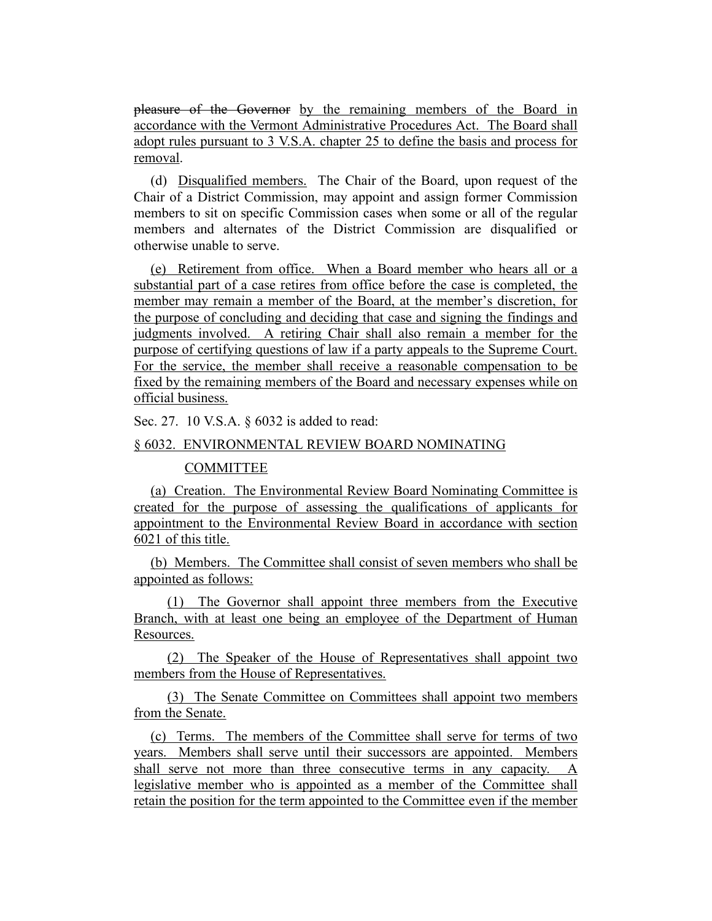pleasure of the Governor by the remaining members of the Board in accordance with the Vermont Administrative Procedures Act. The Board shall adopt rules pursuant to 3 V.S.A. chapter 25 to define the basis and process for removal.

(d) Disqualified members. The Chair of the Board, upon request of the Chair of a District Commission, may appoint and assign former Commission members to sit on specific Commission cases when some or all of the regular members and alternates of the District Commission are disqualified or otherwise unable to serve.

(e) Retirement from office. When a Board member who hears all or a substantial part of a case retires from office before the case is completed, the member may remain a member of the Board, at the member's discretion, for the purpose of concluding and deciding that case and signing the findings and judgments involved. A retiring Chair shall also remain a member for the purpose of certifying questions of law if a party appeals to the Supreme Court. For the service, the member shall receive a reasonable compensation to be fixed by the remaining members of the Board and necessary expenses while on official business.

Sec. 27. 10 V.S.A. § 6032 is added to read:

#### § 6032. ENVIRONMENTAL REVIEW BOARD NOMINATING

### COMMITTEE

(a) Creation. The Environmental Review Board Nominating Committee is created for the purpose of assessing the qualifications of applicants for appointment to the Environmental Review Board in accordance with section 6021 of this title.

(b) Members. The Committee shall consist of seven members who shall be appointed as follows:

(1) The Governor shall appoint three members from the Executive Branch, with at least one being an employee of the Department of Human Resources.

(2) The Speaker of the House of Representatives shall appoint two members from the House of Representatives.

(3) The Senate Committee on Committees shall appoint two members from the Senate.

(c) Terms. The members of the Committee shall serve for terms of two years. Members shall serve until their successors are appointed. Members shall serve not more than three consecutive terms in any capacity. A legislative member who is appointed as a member of the Committee shall retain the position for the term appointed to the Committee even if the member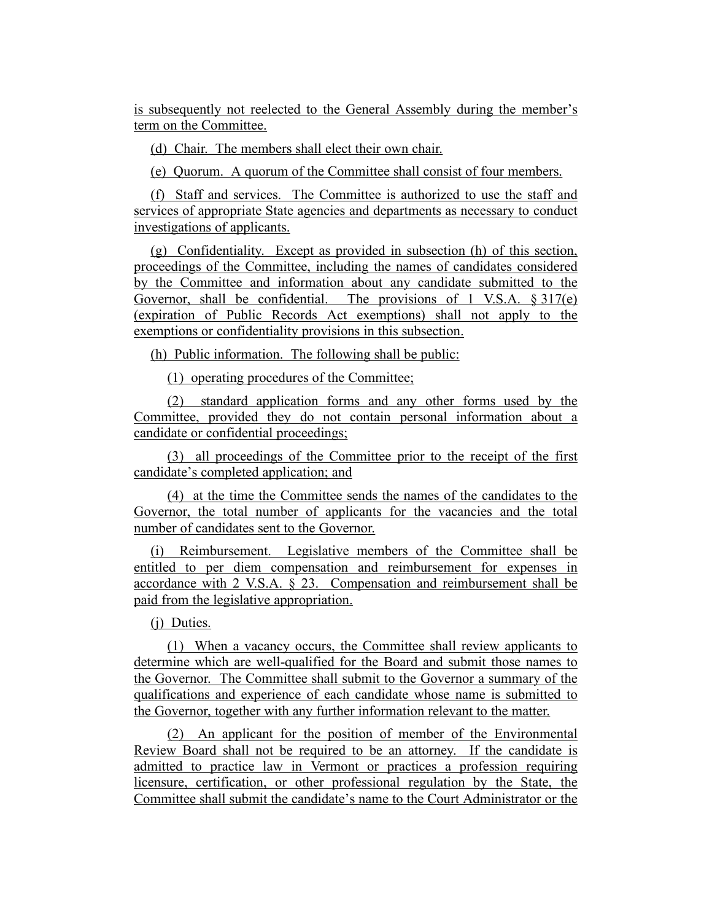is subsequently not reelected to the General Assembly during the member's term on the Committee.

(d) Chair. The members shall elect their own chair.

(e) Quorum. A quorum of the Committee shall consist of four members.

(f) Staff and services. The Committee is authorized to use the staff and services of appropriate State agencies and departments as necessary to conduct investigations of applicants.

(g) Confidentiality. Except as provided in subsection (h) of this section, proceedings of the Committee, including the names of candidates considered by the Committee and information about any candidate submitted to the Governor, shall be confidential. The provisions of 1 V.S.A. § 317(e) (expiration of Public Records Act exemptions) shall not apply to the exemptions or confidentiality provisions in this subsection.

(h) Public information. The following shall be public:

(1) operating procedures of the Committee;

(2) standard application forms and any other forms used by the Committee, provided they do not contain personal information about a candidate or confidential proceedings;

(3) all proceedings of the Committee prior to the receipt of the first candidate's completed application; and

(4) at the time the Committee sends the names of the candidates to the Governor, the total number of applicants for the vacancies and the total number of candidates sent to the Governor.

(i) Reimbursement. Legislative members of the Committee shall be entitled to per diem compensation and reimbursement for expenses in accordance with 2 V.S.A.  $\S$  23. Compensation and reimbursement shall be paid from the legislative appropriation.

(j) Duties.

(1) When a vacancy occurs, the Committee shall review applicants to determine which are well-qualified for the Board and submit those names to the Governor. The Committee shall submit to the Governor a summary of the qualifications and experience of each candidate whose name is submitted to the Governor, together with any further information relevant to the matter.

(2) An applicant for the position of member of the Environmental Review Board shall not be required to be an attorney. If the candidate is admitted to practice law in Vermont or practices a profession requiring licensure, certification, or other professional regulation by the State, the Committee shall submit the candidate's name to the Court Administrator or the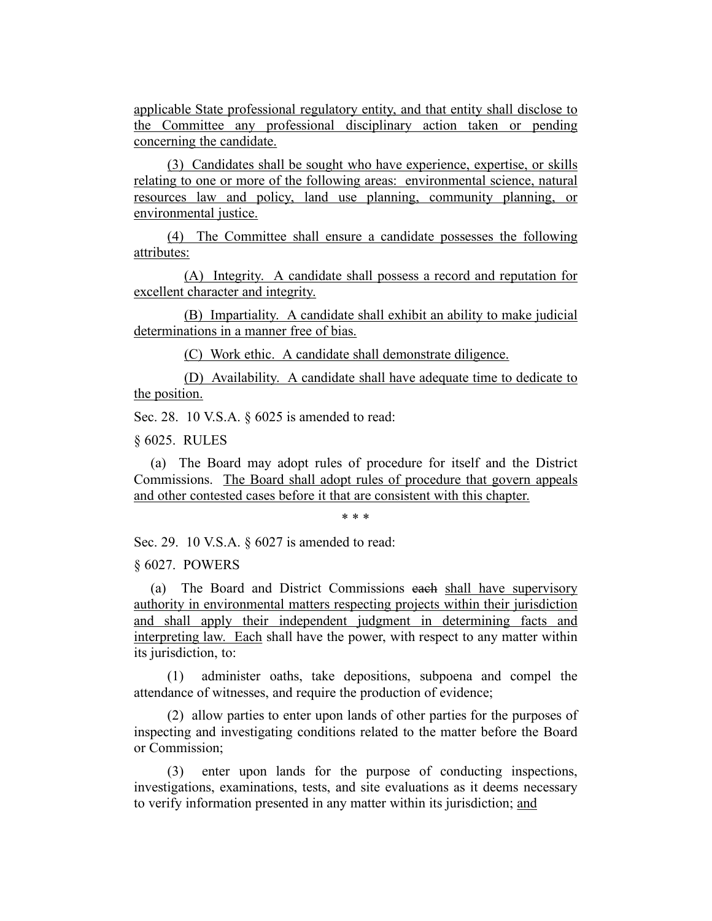applicable State professional regulatory entity, and that entity shall disclose to the Committee any professional disciplinary action taken or pending concerning the candidate.

(3) Candidates shall be sought who have experience, expertise, or skills relating to one or more of the following areas: environmental science, natural resources law and policy, land use planning, community planning, or environmental justice.

(4) The Committee shall ensure a candidate possesses the following attributes:

(A) Integrity. A candidate shall possess a record and reputation for excellent character and integrity.

(B) Impartiality. A candidate shall exhibit an ability to make judicial determinations in a manner free of bias.

(C) Work ethic. A candidate shall demonstrate diligence.

(D) Availability. A candidate shall have adequate time to dedicate to the position.

Sec. 28. 10 V.S.A. § 6025 is amended to read:

§ 6025. RULES

(a) The Board may adopt rules of procedure for itself and the District Commissions. The Board shall adopt rules of procedure that govern appeals and other contested cases before it that are consistent with this chapter.

\* \* \*

Sec. 29. 10 V.S.A. § 6027 is amended to read:

§ 6027. POWERS

(a) The Board and District Commissions each shall have supervisory authority in environmental matters respecting projects within their jurisdiction and shall apply their independent judgment in determining facts and interpreting law. Each shall have the power, with respect to any matter within its jurisdiction, to:

(1) administer oaths, take depositions, subpoena and compel the attendance of witnesses, and require the production of evidence;

(2) allow parties to enter upon lands of other parties for the purposes of inspecting and investigating conditions related to the matter before the Board or Commission;

(3) enter upon lands for the purpose of conducting inspections, investigations, examinations, tests, and site evaluations as it deems necessary to verify information presented in any matter within its jurisdiction; and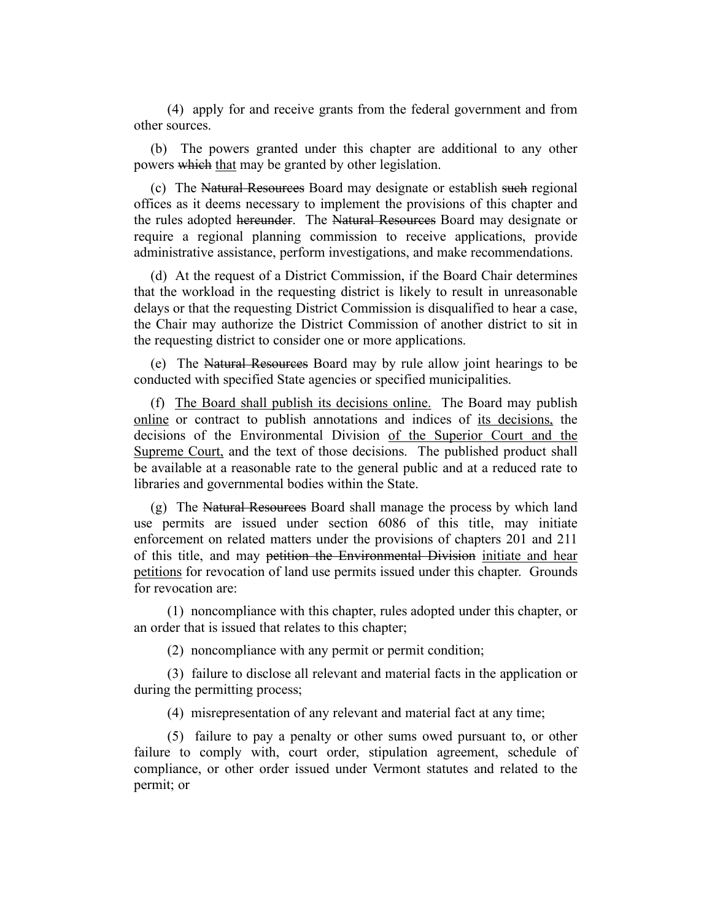(4) apply for and receive grants from the federal government and from other sources.

(b) The powers granted under this chapter are additional to any other powers which that may be granted by other legislation.

(c) The Natural Resources Board may designate or establish such regional offices as it deems necessary to implement the provisions of this chapter and the rules adopted hereunder. The Natural Resources Board may designate or require a regional planning commission to receive applications, provide administrative assistance, perform investigations, and make recommendations.

(d) At the request of a District Commission, if the Board Chair determines that the workload in the requesting district is likely to result in unreasonable delays or that the requesting District Commission is disqualified to hear a case, the Chair may authorize the District Commission of another district to sit in the requesting district to consider one or more applications.

(e) The Natural Resources Board may by rule allow joint hearings to be conducted with specified State agencies or specified municipalities.

(f) The Board shall publish its decisions online. The Board may publish online or contract to publish annotations and indices of its decisions, the decisions of the Environmental Division of the Superior Court and the Supreme Court, and the text of those decisions. The published product shall be available at a reasonable rate to the general public and at a reduced rate to libraries and governmental bodies within the State.

(g) The Natural Resources Board shall manage the process by which land use permits are issued under section 6086 of this title, may initiate enforcement on related matters under the provisions of chapters 201 and 211 of this title, and may petition the Environmental Division initiate and hear petitions for revocation of land use permits issued under this chapter. Grounds for revocation are:

(1) noncompliance with this chapter, rules adopted under this chapter, or an order that is issued that relates to this chapter;

(2) noncompliance with any permit or permit condition;

(3) failure to disclose all relevant and material facts in the application or during the permitting process;

(4) misrepresentation of any relevant and material fact at any time;

(5) failure to pay a penalty or other sums owed pursuant to, or other failure to comply with, court order, stipulation agreement, schedule of compliance, or other order issued under Vermont statutes and related to the permit; or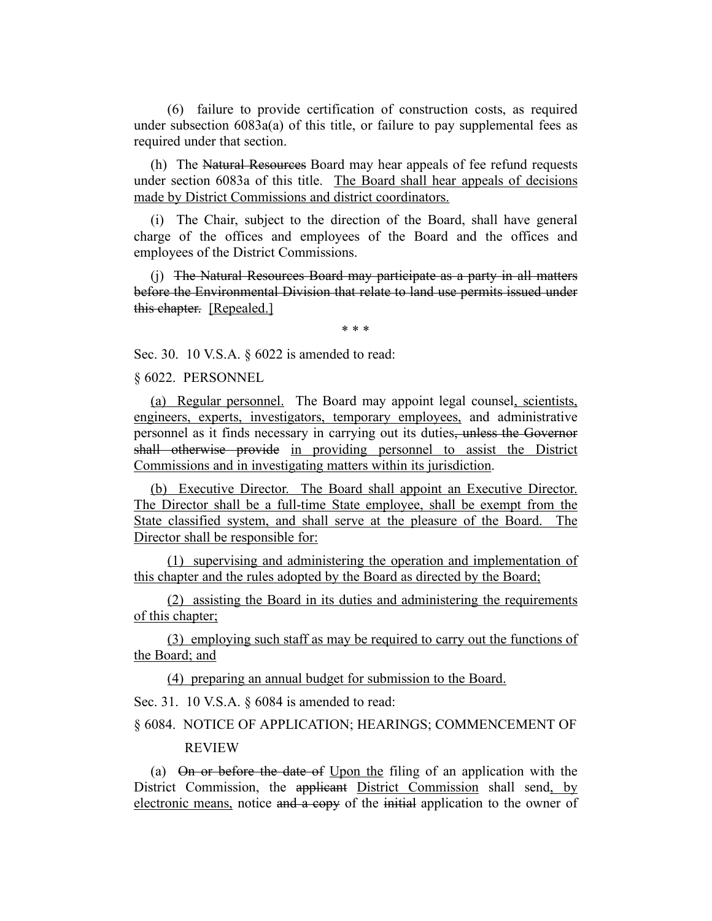(6) failure to provide certification of construction costs, as required under subsection  $6083a(a)$  of this title, or failure to pay supplemental fees as required under that section.

(h) The Natural Resources Board may hear appeals of fee refund requests under section 6083a of this title. The Board shall hear appeals of decisions made by District Commissions and district coordinators.

(i) The Chair, subject to the direction of the Board, shall have general charge of the offices and employees of the Board and the offices and employees of the District Commissions.

(j) The Natural Resources Board may participate as a party in all matters before the Environmental Division that relate to land use permits issued under this chapter. [Repealed.]

\* \* \*

Sec. 30. 10 V.S.A. § 6022 is amended to read:

§ 6022. PERSONNEL

(a) Regular personnel. The Board may appoint legal counsel, scientists, engineers, experts, investigators, temporary employees, and administrative personnel as it finds necessary in carrying out its duties, unless the Governor shall otherwise provide in providing personnel to assist the District Commissions and in investigating matters within its jurisdiction.

(b) Executive Director. The Board shall appoint an Executive Director. The Director shall be a full-time State employee, shall be exempt from the State classified system, and shall serve at the pleasure of the Board. The Director shall be responsible for:

(1) supervising and administering the operation and implementation of this chapter and the rules adopted by the Board as directed by the Board;

(2) assisting the Board in its duties and administering the requirements of this chapter;

(3) employing such staff as may be required to carry out the functions of the Board; and

(4) preparing an annual budget for submission to the Board.

Sec. 31. 10 V.S.A. § 6084 is amended to read:

## § 6084. NOTICE OF APPLICATION; HEARINGS; COMMENCEMENT OF REVIEW

(a) On or before the date of Upon the filing of an application with the District Commission, the applicant District Commission shall send, by electronic means, notice and a copy of the initial application to the owner of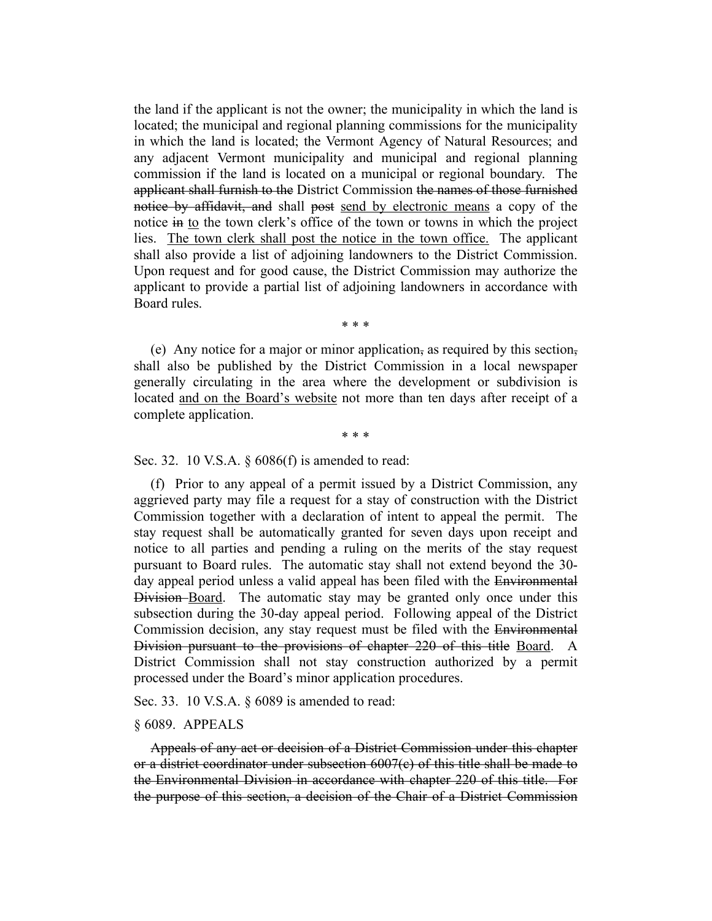the land if the applicant is not the owner; the municipality in which the land is located; the municipal and regional planning commissions for the municipality in which the land is located; the Vermont Agency of Natural Resources; and any adjacent Vermont municipality and municipal and regional planning commission if the land is located on a municipal or regional boundary. The applicant shall furnish to the District Commission the names of those furnished notice by affidavit, and shall post send by electronic means a copy of the notice in to the town clerk's office of the town or towns in which the project lies. The town clerk shall post the notice in the town office. The applicant shall also provide a list of adjoining landowners to the District Commission. Upon request and for good cause, the District Commission may authorize the applicant to provide a partial list of adjoining landowners in accordance with Board rules.

\* \* \*

(e) Any notice for a major or minor application, as required by this section, shall also be published by the District Commission in a local newspaper generally circulating in the area where the development or subdivision is located and on the Board's website not more than ten days after receipt of a complete application.

\* \* \*

Sec. 32. 10 V.S.A. § 6086(f) is amended to read:

(f) Prior to any appeal of a permit issued by a District Commission, any aggrieved party may file a request for a stay of construction with the District Commission together with a declaration of intent to appeal the permit. The stay request shall be automatically granted for seven days upon receipt and notice to all parties and pending a ruling on the merits of the stay request pursuant to Board rules. The automatic stay shall not extend beyond the 30 day appeal period unless a valid appeal has been filed with the Environmental Division Board. The automatic stay may be granted only once under this subsection during the 30-day appeal period. Following appeal of the District Commission decision, any stay request must be filed with the Environmental Division pursuant to the provisions of chapter 220 of this title Board. A District Commission shall not stay construction authorized by a permit processed under the Board's minor application procedures.

Sec. 33. 10 V.S.A. § 6089 is amended to read:

### § 6089. APPEALS

Appeals of any act or decision of a District Commission under this chapter or a district coordinator under subsection  $6007(c)$  of this title shall be made to the Environmental Division in accordance with chapter 220 of this title. For the purpose of this section, a decision of the Chair of a District Commission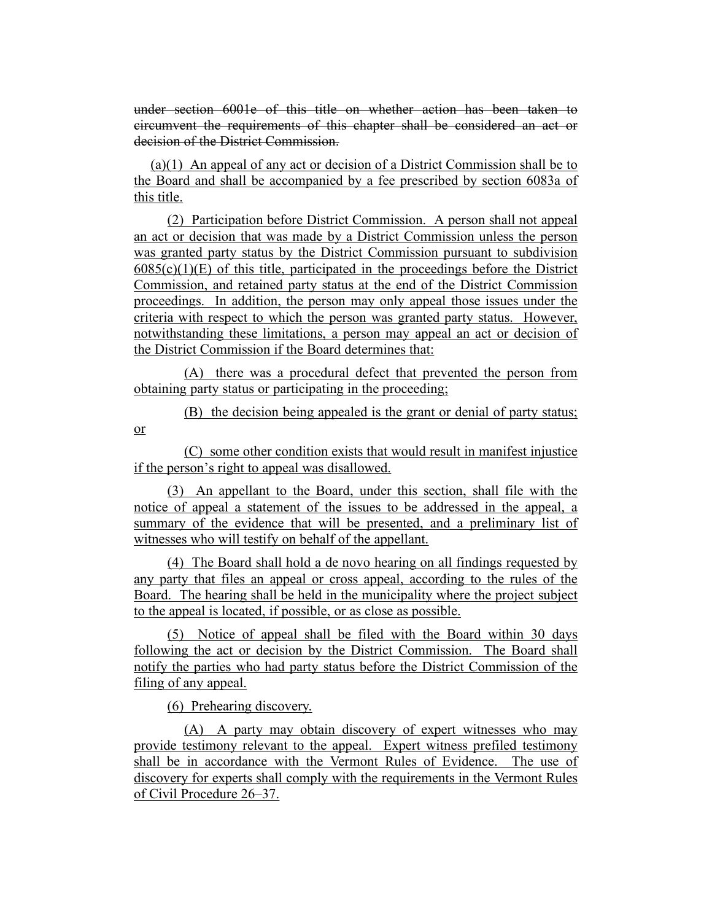under section 6001e of this title on whether action has been taken to circumvent the requirements of this chapter shall be considered an act or decision of the District Commission.

(a)(1) An appeal of any act or decision of a District Commission shall be to the Board and shall be accompanied by a fee prescribed by section 6083a of this title.

(2) Participation before District Commission. A person shall not appeal an act or decision that was made by a District Commission unless the person was granted party status by the District Commission pursuant to subdivision  $6085(c)(1)(E)$  of this title, participated in the proceedings before the District Commission, and retained party status at the end of the District Commission proceedings. In addition, the person may only appeal those issues under the criteria with respect to which the person was granted party status. However, notwithstanding these limitations, a person may appeal an act or decision of the District Commission if the Board determines that:

(A) there was a procedural defect that prevented the person from obtaining party status or participating in the proceeding;

(B) the decision being appealed is the grant or denial of party status; or

(C) some other condition exists that would result in manifest injustice if the person's right to appeal was disallowed.

(3) An appellant to the Board, under this section, shall file with the notice of appeal a statement of the issues to be addressed in the appeal, a summary of the evidence that will be presented, and a preliminary list of witnesses who will testify on behalf of the appellant.

(4) The Board shall hold a de novo hearing on all findings requested by any party that files an appeal or cross appeal, according to the rules of the Board. The hearing shall be held in the municipality where the project subject to the appeal is located, if possible, or as close as possible.

(5) Notice of appeal shall be filed with the Board within 30 days following the act or decision by the District Commission. The Board shall notify the parties who had party status before the District Commission of the filing of any appeal.

(6) Prehearing discovery.

(A) A party may obtain discovery of expert witnesses who may provide testimony relevant to the appeal. Expert witness prefiled testimony shall be in accordance with the Vermont Rules of Evidence. The use of discovery for experts shall comply with the requirements in the Vermont Rules of Civil Procedure 26–37.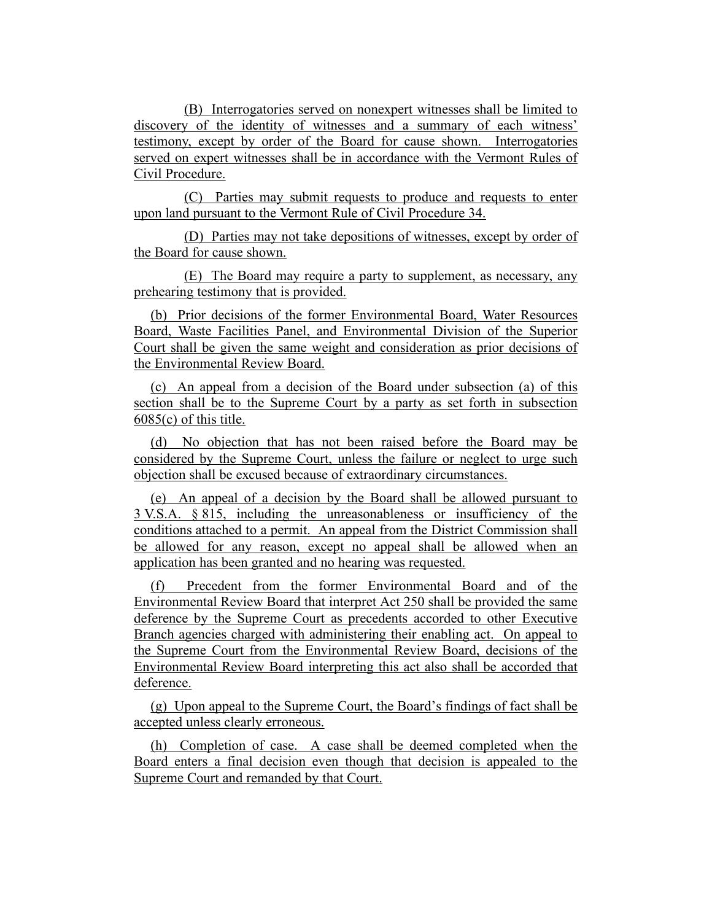(B) Interrogatories served on nonexpert witnesses shall be limited to discovery of the identity of witnesses and a summary of each witness' testimony, except by order of the Board for cause shown. Interrogatories served on expert witnesses shall be in accordance with the Vermont Rules of Civil Procedure.

(C) Parties may submit requests to produce and requests to enter upon land pursuant to the Vermont Rule of Civil Procedure 34.

(D) Parties may not take depositions of witnesses, except by order of the Board for cause shown.

(E) The Board may require a party to supplement, as necessary, any prehearing testimony that is provided.

(b) Prior decisions of the former Environmental Board, Water Resources Board, Waste Facilities Panel, and Environmental Division of the Superior Court shall be given the same weight and consideration as prior decisions of the Environmental Review Board.

(c) An appeal from a decision of the Board under subsection (a) of this section shall be to the Supreme Court by a party as set forth in subsection  $6085(c)$  of this title.

(d) No objection that has not been raised before the Board may be considered by the Supreme Court, unless the failure or neglect to urge such objection shall be excused because of extraordinary circumstances.

(e) An appeal of a decision by the Board shall be allowed pursuant to 3 V.S.A. § 815, including the unreasonableness or insufficiency of the conditions attached to a permit. An appeal from the District Commission shall be allowed for any reason, except no appeal shall be allowed when an application has been granted and no hearing was requested.

Precedent from the former Environmental Board and of the Environmental Review Board that interpret Act 250 shall be provided the same deference by the Supreme Court as precedents accorded to other Executive Branch agencies charged with administering their enabling act. On appeal to the Supreme Court from the Environmental Review Board, decisions of the Environmental Review Board interpreting this act also shall be accorded that deference.

(g) Upon appeal to the Supreme Court, the Board's findings of fact shall be accepted unless clearly erroneous.

(h) Completion of case. A case shall be deemed completed when the Board enters a final decision even though that decision is appealed to the Supreme Court and remanded by that Court.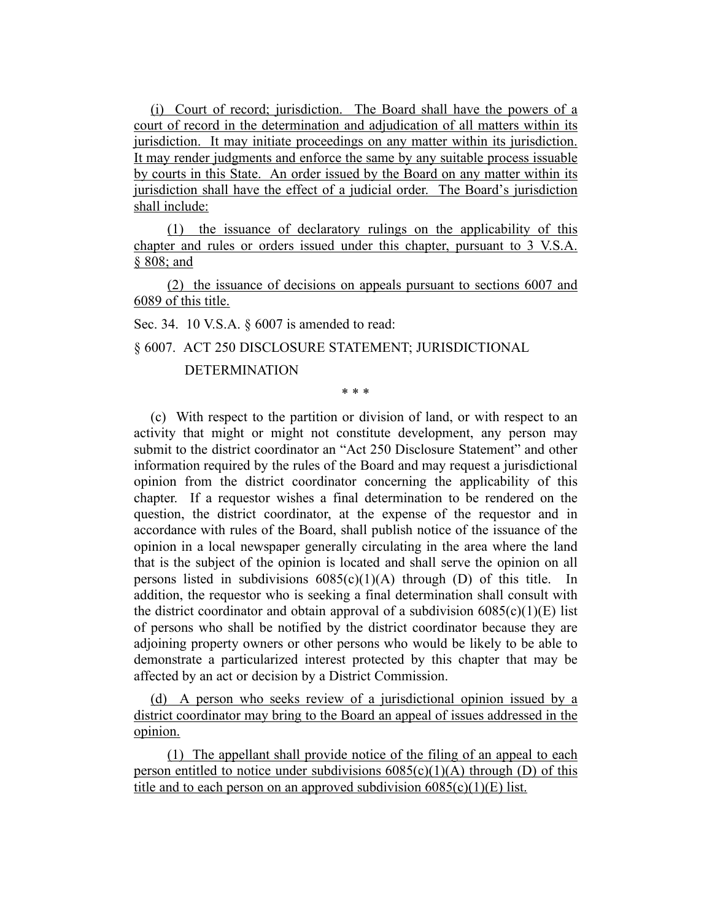(i) Court of record; jurisdiction. The Board shall have the powers of a court of record in the determination and adjudication of all matters within its jurisdiction. It may initiate proceedings on any matter within its jurisdiction. It may render judgments and enforce the same by any suitable process issuable by courts in this State. An order issued by the Board on any matter within its jurisdiction shall have the effect of a judicial order. The Board's jurisdiction shall include:

(1) the issuance of declaratory rulings on the applicability of this chapter and rules or orders issued under this chapter, pursuant to 3 V.S.A. § 808; and

(2) the issuance of decisions on appeals pursuant to sections 6007 and 6089 of this title.

Sec. 34. 10 V.S.A. § 6007 is amended to read:

§ 6007. ACT 250 DISCLOSURE STATEMENT; JURISDICTIONAL

### DETERMINATION

\* \* \*

(c) With respect to the partition or division of land, or with respect to an activity that might or might not constitute development, any person may submit to the district coordinator an "Act 250 Disclosure Statement" and other information required by the rules of the Board and may request a jurisdictional opinion from the district coordinator concerning the applicability of this chapter. If a requestor wishes a final determination to be rendered on the question, the district coordinator, at the expense of the requestor and in accordance with rules of the Board, shall publish notice of the issuance of the opinion in a local newspaper generally circulating in the area where the land that is the subject of the opinion is located and shall serve the opinion on all persons listed in subdivisions  $6085(c)(1)(A)$  through (D) of this title. In addition, the requestor who is seeking a final determination shall consult with the district coordinator and obtain approval of a subdivision  $6085(c)(1)(E)$  list of persons who shall be notified by the district coordinator because they are adjoining property owners or other persons who would be likely to be able to demonstrate a particularized interest protected by this chapter that may be affected by an act or decision by a District Commission.

(d) A person who seeks review of a jurisdictional opinion issued by a district coordinator may bring to the Board an appeal of issues addressed in the opinion.

(1) The appellant shall provide notice of the filing of an appeal to each person entitled to notice under subdivisions  $6085(c)(1)(A)$  through (D) of this title and to each person on an approved subdivision  $6085(c)(1)(E)$  list.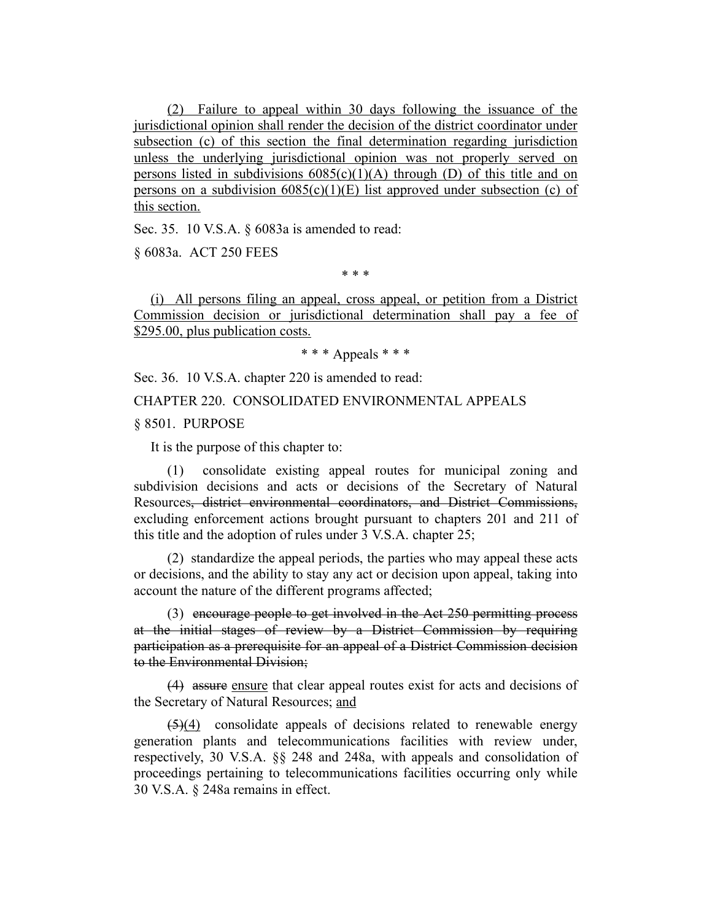(2) Failure to appeal within 30 days following the issuance of the jurisdictional opinion shall render the decision of the district coordinator under subsection (c) of this section the final determination regarding jurisdiction unless the underlying jurisdictional opinion was not properly served on persons listed in subdivisions  $6085(c)(1)(A)$  through (D) of this title and on persons on a subdivision  $6085(c)(1)(E)$  list approved under subsection (c) of this section.

Sec. 35. 10 V.S.A. § 6083a is amended to read:

§ 6083a. ACT 250 FEES

\* \* \*

(i) All persons filing an appeal, cross appeal, or petition from a District Commission decision or jurisdictional determination shall pay a fee of \$295.00, plus publication costs.

\* \* \* Appeals \* \* \*

Sec. 36. 10 V.S.A. chapter 220 is amended to read:

CHAPTER 220. CONSOLIDATED ENVIRONMENTAL APPEALS

§ 8501. PURPOSE

It is the purpose of this chapter to:

(1) consolidate existing appeal routes for municipal zoning and subdivision decisions and acts or decisions of the Secretary of Natural Resources, district environmental coordinators, and District Commissions, excluding enforcement actions brought pursuant to chapters 201 and 211 of this title and the adoption of rules under 3 V.S.A. chapter 25;

(2) standardize the appeal periods, the parties who may appeal these acts or decisions, and the ability to stay any act or decision upon appeal, taking into account the nature of the different programs affected;

(3) encourage people to get involved in the Act 250 permitting process at the initial stages of review by a District Commission by requiring participation as a prerequisite for an appeal of a District Commission decision to the Environmental Division;

(4) assure ensure that clear appeal routes exist for acts and decisions of the Secretary of Natural Resources; and

 $\left( \frac{5}{4} \right)$  consolidate appeals of decisions related to renewable energy generation plants and telecommunications facilities with review under, respectively, 30 V.S.A. §§ 248 and 248a, with appeals and consolidation of proceedings pertaining to telecommunications facilities occurring only while 30 V.S.A. § 248a remains in effect.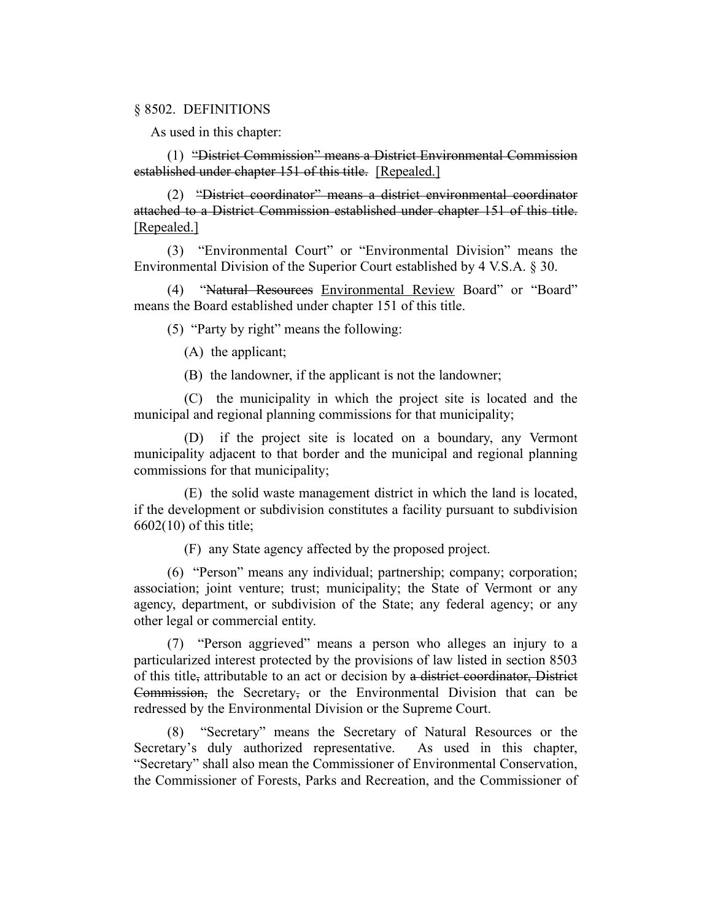#### § 8502. DEFINITIONS

As used in this chapter:

(1) "District Commission" means a District Environmental Commission established under chapter 151 of this title. [Repealed.]

(2) "District coordinator" means a district environmental coordinator attached to a District Commission established under chapter 151 of this title. [Repealed.]

(3) "Environmental Court" or "Environmental Division" means the Environmental Division of the Superior Court established by 4 V.S.A. § 30.

(4) "Natural Resources Environmental Review Board" or "Board" means the Board established under chapter 151 of this title.

(5) "Party by right" means the following:

(A) the applicant;

(B) the landowner, if the applicant is not the landowner;

(C) the municipality in which the project site is located and the municipal and regional planning commissions for that municipality;

(D) if the project site is located on a boundary, any Vermont municipality adjacent to that border and the municipal and regional planning commissions for that municipality;

(E) the solid waste management district in which the land is located, if the development or subdivision constitutes a facility pursuant to subdivision 6602(10) of this title;

(F) any State agency affected by the proposed project.

(6) "Person" means any individual; partnership; company; corporation; association; joint venture; trust; municipality; the State of Vermont or any agency, department, or subdivision of the State; any federal agency; or any other legal or commercial entity.

(7) "Person aggrieved" means a person who alleges an injury to a particularized interest protected by the provisions of law listed in section 8503 of this title, attributable to an act or decision by a district coordinator, District Commission, the Secretary, or the Environmental Division that can be redressed by the Environmental Division or the Supreme Court.

(8) "Secretary" means the Secretary of Natural Resources or the Secretary's duly authorized representative. As used in this chapter, "Secretary" shall also mean the Commissioner of Environmental Conservation, the Commissioner of Forests, Parks and Recreation, and the Commissioner of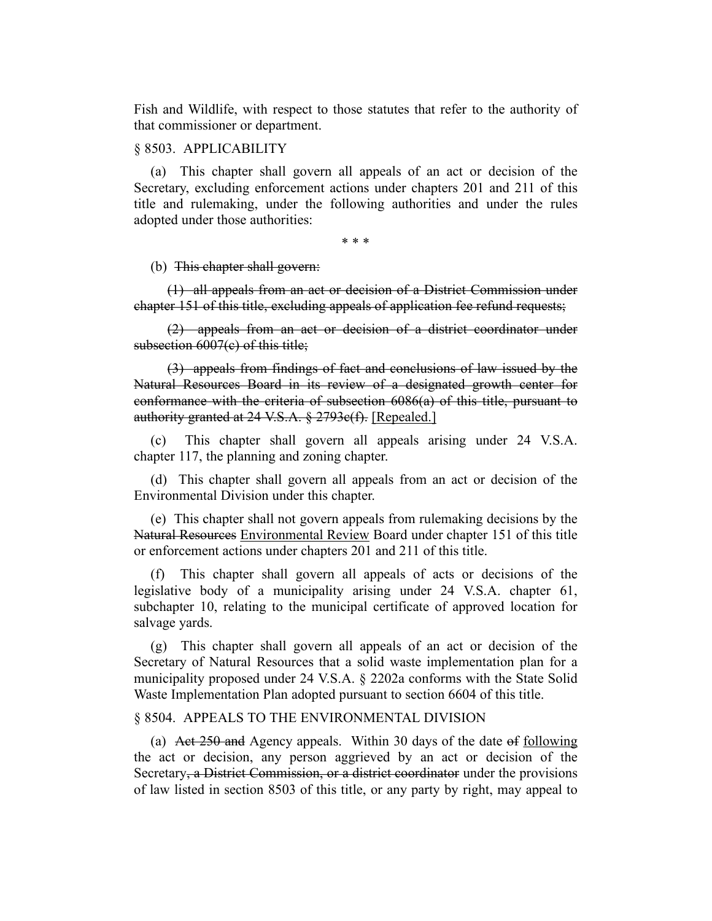Fish and Wildlife, with respect to those statutes that refer to the authority of that commissioner or department.

## § 8503. APPLICABILITY

(a) This chapter shall govern all appeals of an act or decision of the Secretary, excluding enforcement actions under chapters 201 and 211 of this title and rulemaking, under the following authorities and under the rules adopted under those authorities:

\* \* \*

#### (b) This chapter shall govern:

(1) all appeals from an act or decision of a District Commission under chapter 151 of this title, excluding appeals of application fee refund requests;

(2) appeals from an act or decision of a district coordinator under subsection 6007(e) of this title;

(3) appeals from findings of fact and conclusions of law issued by the Natural Resources Board in its review of a designated growth center for conformance with the criteria of subsection 6086(a) of this title, pursuant to authority granted at 24 V.S.A. § 2793c(f). [Repealed.]

(c) This chapter shall govern all appeals arising under 24 V.S.A. chapter 117, the planning and zoning chapter.

(d) This chapter shall govern all appeals from an act or decision of the Environmental Division under this chapter.

(e) This chapter shall not govern appeals from rulemaking decisions by the Natural Resources Environmental Review Board under chapter 151 of this title or enforcement actions under chapters 201 and 211 of this title.

(f) This chapter shall govern all appeals of acts or decisions of the legislative body of a municipality arising under 24 V.S.A. chapter 61, subchapter 10, relating to the municipal certificate of approved location for salvage yards.

(g) This chapter shall govern all appeals of an act or decision of the Secretary of Natural Resources that a solid waste implementation plan for a municipality proposed under 24 V.S.A. § 2202a conforms with the State Solid Waste Implementation Plan adopted pursuant to section 6604 of this title.

#### § 8504. APPEALS TO THE ENVIRONMENTAL DIVISION

(a) Act 250 and Agency appeals. Within 30 days of the date of following the act or decision, any person aggrieved by an act or decision of the Secretary, a District Commission, or a district coordinator under the provisions of law listed in section 8503 of this title, or any party by right, may appeal to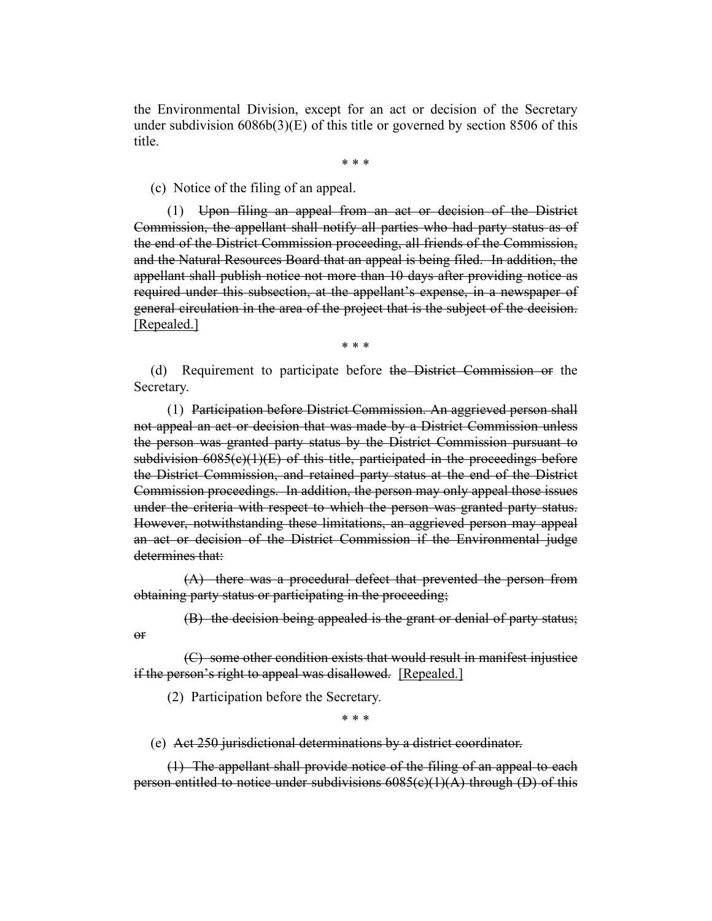the Environmental Division, except for an act or decision of the Secretary under subdivision  $60866(3)(E)$  of this title or governed by section 8506 of this title.

\* \* \*

(c) Notice of the filing of an appeal.

(1) Upon filing an appeal from an act or decision of the District Commission, the appellant shall notify all parties who had party status as of the end of the District Commission proceeding, all friends of the Commission, and the Natural Resources Board that an appeal is being filed. In addition, the appellant shall publish notice not more than 10 days after providing notice as required under this subsection, at the appellant's expense, in a newspaper of general circulation in the area of the project that is the subject of the decision. [Repealed.]

\* \* \*

(d) Requirement to participate before the District Commission or the Secretary.

(1) Participation before District Commission. An aggrieved person shall not appeal an act or decision that was made by a District Commission unless the person was granted party status by the District Commission pursuant to subdivision  $6085(e)(1)(E)$  of this title, participated in the proceedings before the District Commission, and retained party status at the end of the District Commission proceedings. In addition, the person may only appeal those issues under the criteria with respect to which the person was granted party status. However, notwithstanding these limitations, an aggrieved person may appeal an act or decision of the District Commission if the Environmental judge determines that:

(A) there was a procedural defect that prevented the person from obtaining party status or participating in the proceeding;

(B) the decision being appealed is the grant or denial of party status;

(C) some other condition exists that would result in manifest injustice if the person's right to appeal was disallowed. [Repealed.]

(2) Participation before the Secretary.

or

\* \* \*

(e) Act 250 jurisdictional determinations by a district coordinator.

(1) The appellant shall provide notice of the filing of an appeal to each person entitled to notice under subdivisions 6085(c)(1)(A) through (D) of this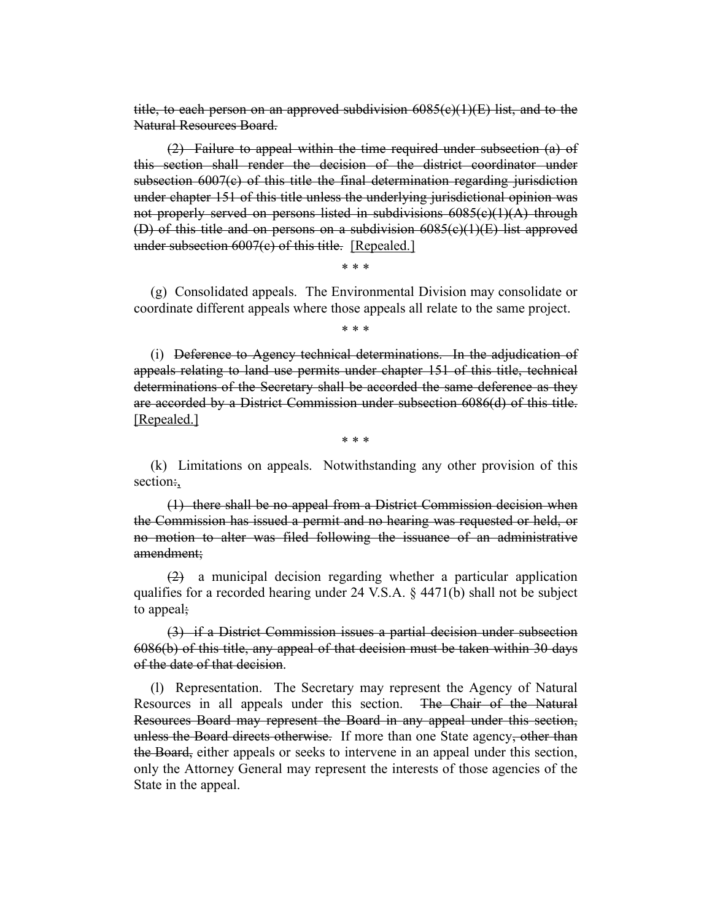title, to each person on an approved subdivision  $6085(e)(1)(E)$  list, and to the Natural Resources Board.

(2) Failure to appeal within the time required under subsection (a) of this section shall render the decision of the district coordinator under subsection  $6007(c)$  of this title the final determination regarding jurisdiction under chapter 151 of this title unless the underlying jurisdictional opinion was not properly served on persons listed in subdivisions  $6085(c)(1)(A)$  through (D) of this title and on persons on a subdivision  $6085(c)(1)(E)$  list approved under subsection  $6007(c)$  of this title. [Repealed.]

\* \* \*

(g) Consolidated appeals. The Environmental Division may consolidate or coordinate different appeals where those appeals all relate to the same project.

\* \* \*

(i) Deference to Agency technical determinations. In the adjudication of appeals relating to land use permits under chapter 151 of this title, technical determinations of the Secretary shall be accorded the same deference as they are accorded by a District Commission under subsection 6086(d) of this title. [Repealed.]

\* \* \*

(k) Limitations on appeals. Notwithstanding any other provision of this section:,

(1) there shall be no appeal from a District Commission decision when the Commission has issued a permit and no hearing was requested or held, or no motion to alter was filed following the issuance of an administrative amendment;

(2) a municipal decision regarding whether a particular application qualifies for a recorded hearing under 24 V.S.A. § 4471(b) shall not be subject to appeal;

(3) if a District Commission issues a partial decision under subsection 6086(b) of this title, any appeal of that decision must be taken within 30 days of the date of that decision.

(l) Representation. The Secretary may represent the Agency of Natural Resources in all appeals under this section. The Chair of the Natural Resources Board may represent the Board in any appeal under this section, unless the Board directs otherwise. If more than one State agency, other than the Board, either appeals or seeks to intervene in an appeal under this section, only the Attorney General may represent the interests of those agencies of the State in the appeal.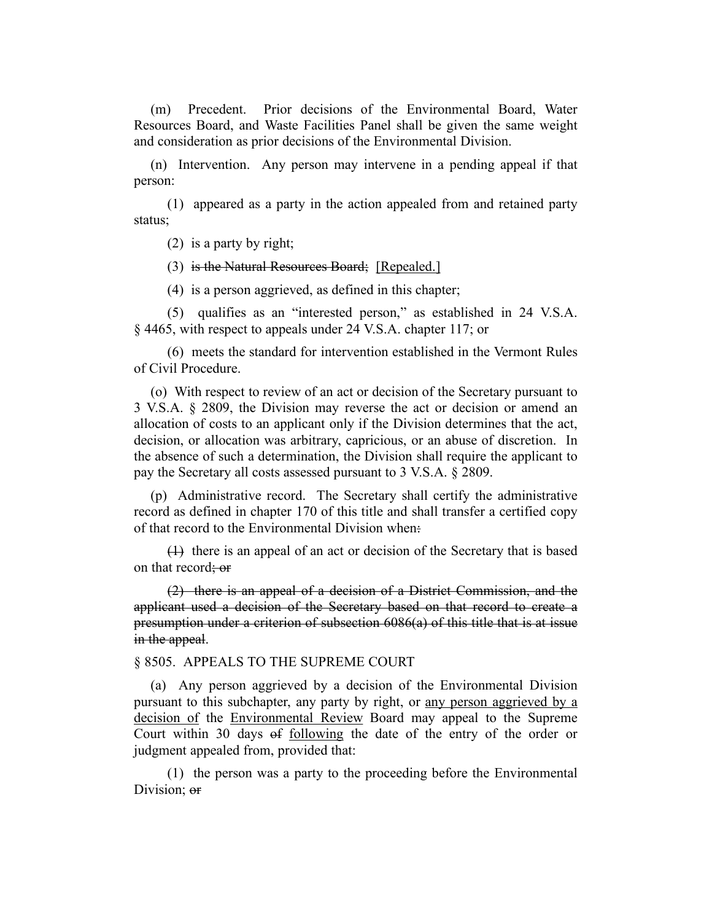(m) Precedent. Prior decisions of the Environmental Board, Water Resources Board, and Waste Facilities Panel shall be given the same weight and consideration as prior decisions of the Environmental Division.

(n) Intervention. Any person may intervene in a pending appeal if that person:

(1) appeared as a party in the action appealed from and retained party status;

(2) is a party by right;

(3) is the Natural Resources Board; [Repealed.]

(4) is a person aggrieved, as defined in this chapter;

(5) qualifies as an "interested person," as established in 24 V.S.A. § 4465, with respect to appeals under 24 V.S.A. chapter 117; or

(6) meets the standard for intervention established in the Vermont Rules of Civil Procedure.

(o) With respect to review of an act or decision of the Secretary pursuant to 3 V.S.A. § 2809, the Division may reverse the act or decision or amend an allocation of costs to an applicant only if the Division determines that the act, decision, or allocation was arbitrary, capricious, or an abuse of discretion. In the absence of such a determination, the Division shall require the applicant to pay the Secretary all costs assessed pursuant to 3 V.S.A. § 2809.

(p) Administrative record. The Secretary shall certify the administrative record as defined in chapter 170 of this title and shall transfer a certified copy of that record to the Environmental Division when:

(1) there is an appeal of an act or decision of the Secretary that is based on that record; or

(2) there is an appeal of a decision of a District Commission, and the applicant used a decision of the Secretary based on that record to create a presumption under a criterion of subsection 6086(a) of this title that is at issue in the appeal.

§ 8505. APPEALS TO THE SUPREME COURT

(a) Any person aggrieved by a decision of the Environmental Division pursuant to this subchapter, any party by right, or any person aggrieved by a decision of the Environmental Review Board may appeal to the Supreme Court within 30 days of following the date of the entry of the order or judgment appealed from, provided that:

(1) the person was a party to the proceeding before the Environmental Division: or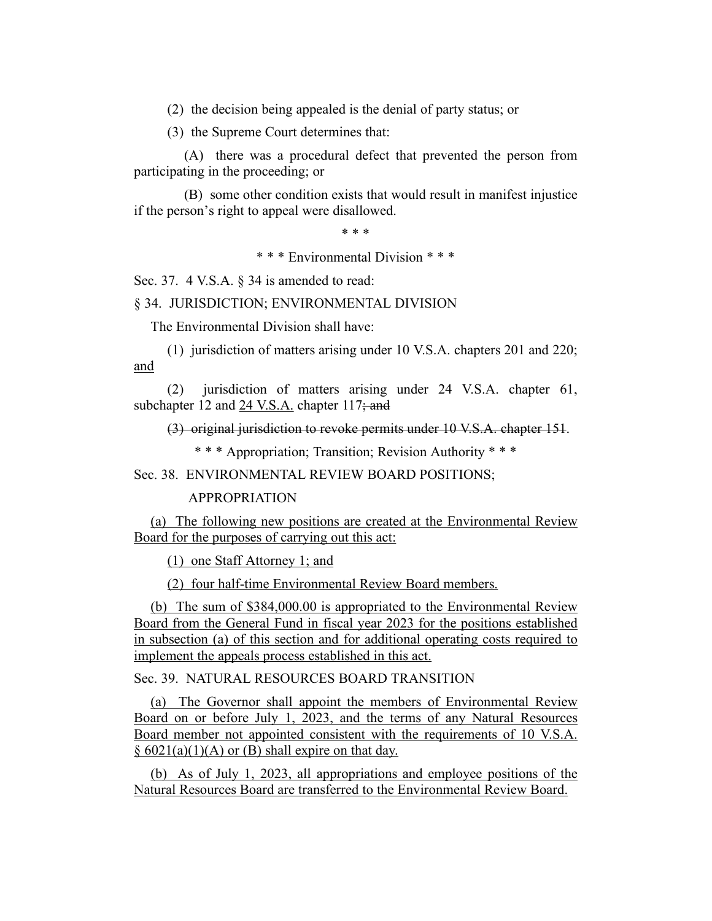(2) the decision being appealed is the denial of party status; or

(3) the Supreme Court determines that:

(A) there was a procedural defect that prevented the person from participating in the proceeding; or

(B) some other condition exists that would result in manifest injustice if the person's right to appeal were disallowed.

\* \* \*

\* \* \* Environmental Division \* \* \*

Sec. 37. 4 V.S.A. § 34 is amended to read:

§ 34. JURISDICTION; ENVIRONMENTAL DIVISION

The Environmental Division shall have:

(1) jurisdiction of matters arising under 10 V.S.A. chapters 201 and 220; and

(2) jurisdiction of matters arising under 24 V.S.A. chapter 61, subchapter 12 and 24 V.S.A. chapter 117; and

(3) original jurisdiction to revoke permits under 10 V.S.A. chapter 151.

\* \* \* Appropriation; Transition; Revision Authority \* \* \*

Sec. 38. ENVIRONMENTAL REVIEW BOARD POSITIONS;

#### APPROPRIATION

(a) The following new positions are created at the Environmental Review Board for the purposes of carrying out this act:

(1) one Staff Attorney 1; and

(2) four half-time Environmental Review Board members.

(b) The sum of \$384,000.00 is appropriated to the Environmental Review Board from the General Fund in fiscal year 2023 for the positions established in subsection (a) of this section and for additional operating costs required to implement the appeals process established in this act.

Sec. 39. NATURAL RESOURCES BOARD TRANSITION

(a) The Governor shall appoint the members of Environmental Review Board on or before July 1, 2023, and the terms of any Natural Resources Board member not appointed consistent with the requirements of 10 V.S.A.  $§ 6021(a)(1)(A)$  or (B) shall expire on that day.

(b) As of July 1, 2023, all appropriations and employee positions of the Natural Resources Board are transferred to the Environmental Review Board.